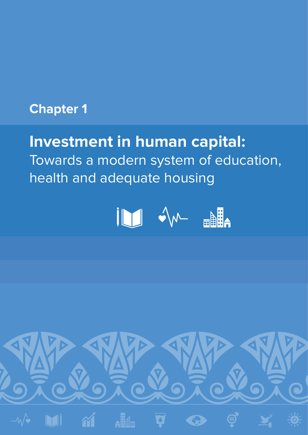# **Chapter 1**

# **Investment in human capital:**  Towards a modern system of education, health and adequate housing



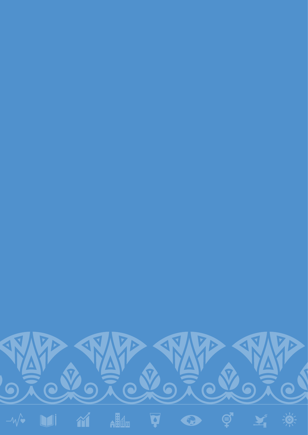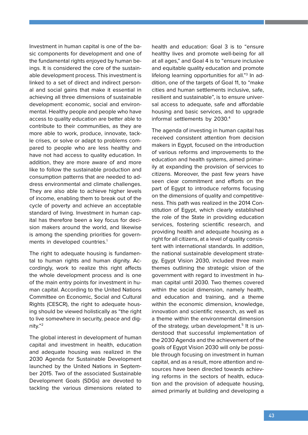Investment in human capital is one of the basic components for development and one of the fundamental rights enjoyed by human beings. It is considered the core of the sustainable development process. This investment is linked to a set of direct and indirect personal and social gains that make it essential in achieving all three dimensions of sustainable development: economic, social and environmental. Healthy people and people who have access to quality education are better able to contribute to their communities, as they are more able to work, produce, innovate, tackle crises, or solve or adapt to problems compared to people who are less healthy and have not had access to quality education. In addition, they are more aware of and more like to follow the sustainable production and consumption patterns that are needed to address environmental and climate challenges. They are also able to achieve higher levels of income, enabling them to break out of the cycle of poverty and achieve an acceptable standard of living. Investment in human capital has therefore been a key focus for decision makers around the world, and likewise is among the spending priorities for governments in developed countries.<sup>1</sup>

The right to adequate housing is fundamental to human rights and human dignity. Accordingly, work to realize this right affects the whole development process and is one of the main entry points for investment in human capital. According to the United Nations Committee on Economic, Social and Cultural Rights (CESCR), the right to adequate housing should be viewed holistically as "the right to live somewhere in security, peace and dignity."2

The global interest in development of human capital and investment in health, education and adequate housing was realized in the 2030 Agenda for Sustainable Development launched by the United Nations in September 2015. Two of the associated Sustainable Development Goals (SDGs) are devoted to tackling the various dimensions related to

health and education: Goal 3 is to "ensure healthy lives and promote well-being for all at all ages," and Goal 4 is to "ensure inclusive and equitable quality education and promote lifelong learning opportunities for all."<sup>3</sup> In addition, one of the targets of Goal 11, to "make cities and human settlements inclusive, safe, resilient and sustainable", is to ensure universal access to adequate, safe and affordable housing and basic services, and to upgrade informal settlements by 2030.4

The agenda of investing in human capital has received consistent attention from decision makers in Egypt, focused on the introduction of various reforms and improvements to the education and health systems, aimed primarily at expanding the provision of services to citizens. Moreover, the past few years have seen clear commitment and efforts on the part of Egypt to introduce reforms focusing on the dimensions of quality and competitiveness. This path was realized in the 2014 Constitution of Egypt, which clearly established the role of the State in providing education services, fostering scientific research, and providing health and adequate housing as a right for all citizens, at a level of quality consistent with international standards. In addition, the national sustainable development strategy, Egypt Vision 2030, included three main themes outlining the strategic vision of the government with regard to investment in human capital until 2030. Two themes covered within the social dimension, namely health, and education and training, and a theme within the economic dimension, knowledge, innovation and scientific research, as well as a theme within the environmental dimension of the strategy, urban development.<sup>5</sup> It is understood that successful implementation of the 2030 Agenda and the achievement of the goals of Egypt Vision 2030 will only be possible through focusing on investment in human capital, and as a result, more attention and resources have been directed towards achieving reforms in the sectors of health, education and the provision of adequate housing, aimed primarily at building and developing a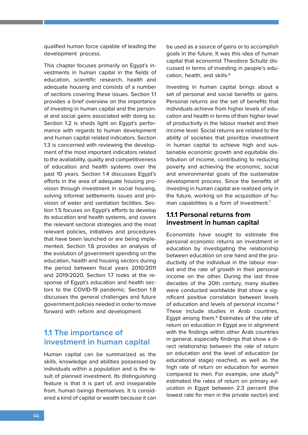qualified human force capable of leading the development process.

This chapter focuses primarily on Egypt's investments in human capital in the fields of education, scientific research, health and adequate housing and consists of a number of sections covering these issues. Section 1.1 provides a brief overview on the importance of investing in human capital and the personal and social gains associated with doing so. Section 1.2 is sheds light on Egypt's performance with regards to human development and human capital related indicators. Section 1.3 is concerned with reviewing the development of the most important indicators related to the availability, quality and competitiveness of education and health systems over the past 10 years. Section 1.4 discusses Egypt's efforts in the area of adequate housing provision through investment in social housing, solving informal settlements issues and provision of water and sanitation facilities. Section 1.5 focuses on Egypt's efforts to develop its education and health systems, and covers the relevant sectoral strategies and the most relevant policies, initiatives and procedures that have been launched or are being implemented. Section 1.6 provides an analysis of the evolution of government spending on the education, health and housing sectors during the period between fiscal years 2010/2011 and 2019/2020. Section 1.7 looks at the response of Egypt's education and health sectors to the COVID-19 pandemic. Section 1.8 discusses the general challenges and future government policies needed in order to move forward with reform and development.

# **1.1 The importance of investment in human capital**

Human capital can be summarized as the skills, knowledge and abilities possessed by individuals within a population and is the result of planned investment. Its distinguishing feature is that it is part of, and inseparable from, human beings themselves. It is considered a kind of capital or wealth because it can be used as a source of gains or to accomplish goals in the future. It was this idea of human capital that economist Theodore Schultz discussed in terms of investing in people's education, health, and skills.<sup>6</sup>

Investing in human capital brings about a set of personal and social benefits or gains. Personal returns are the set of benefits that individuals achieve from higher levels of education and health in terms of their higher level of productivity in the labour market and their income level. Social returns are related to the ability of societies that prioritize investment in human capital to achieve high and sustainable economic growth and equitable distribution of income, contributing to reducing poverty and achieving the economic, social and environmental goals of the sustainable development process. Since the benefits of investing in human capital are realized only in the future, working on the acquisition of human capabilities is a form of investment.<sup>7</sup>

## **1.1.1 Personal returns from investment in human capital**

Economists have sought to estimate the personal economic returns on investment in education by investigating the relationship between education on one hand and the productivity of the individual in the labour market and the rate of growth in their personal income on the other. During the last three decades of the 20th century, many studies were conducted worldwide that show a significant positive correlation between levels of education and levels of personal income.<sup>8</sup> These include studies in Arab countries, Egypt among them.<sup>9</sup> Estimates of the rate of return on education in Egypt are in alignment with the findings within other Arab countries in general, especially findings that show a direct relationship between the rate of return on education and the level of education (or educational stage) reached, as well as the high rate of return on education for women compared to men. For example, one study<sup>10</sup> estimated the rates of return on primary education in Egypt between 2.3 percent (the lowest rate for men in the private sector) and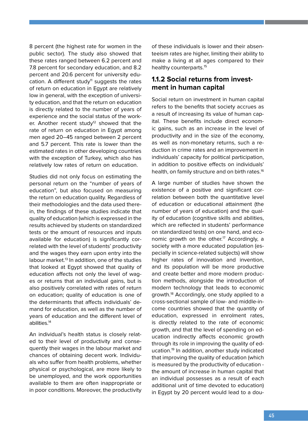8 percent (the highest rate for women in the public sector). The study also showed that these rates ranged between 6.2 percent and 7.8 percent for secondary education, and 8.2 percent and 20.6 percent for university education. A different study<sup>11</sup> suggests the rates of return on education in Egypt are relatively low in general, with the exception of university education, and that the return on education is directly related to the number of years of experience and the social status of the worker. Another recent study<sup>12</sup> showed that the rate of return on education in Egypt among men aged 20–45 ranged between 2 percent and 5.7 percent. This rate is lower than the estimated rates in other developing countries with the exception of Turkey, which also has relatively low rates of return on education.

Studies did not only focus on estimating the personal return on the "number of years of education", but also focused on measuring the return on education quality. Regardless of their methodologies and the data used therein, the findings of these studies indicate that quality of education (which is expressed in the results achieved by students on standardized tests or the amount of resources and inputs available for education) is significantly correlated with the level of students' productivity and the wages they earn upon entry into the labour market.<sup>13</sup> In addition, one of the studies that looked at Egypt showed that quality of education affects not only the level of wages or returns that an individual gains, but is also positively correlated with rates of return on education; quality of education is one of the determinants that affects individuals' demand for education, as well as the number of years of education and the different level of abilities.14

An individual's health status is closely related to their level of productivity and consequently their wages in the labour market and chances of obtaining decent work. Individuals who suffer from health problems, whether physical or psychological, are more likely to be unemployed, and the work opportunities available to them are often inappropriate or in poor conditions. Moreover, the productivity

of these individuals is lower and their absenteeism rates are higher, limiting their ability to make a living at all ages compared to their healthy counterparts.15

## **1.1.2 Social returns from investment in human capital**

Social return on investment in human capital refers to the benefits that society accrues as a result of increasing its value of human capital. These benefits include direct economic gains, such as an increase in the level of productivity and in the size of the economy, as well as non-monetary returns, such a reduction in crime rates and an improvement in individuals' capacity for political participation, in addition to positive effects on individuals' health, on family structure and on birth rates.<sup>16</sup>

A large number of studies have shown the existence of a positive and significant correlation between both the quantitative level of education or educational attainment (the number of years of education) and the quality of education (cognitive skills and abilities, which are reflected in students' performance on standardized tests) on one hand, and economic growth on the other.<sup>17</sup> Accordingly, a society with a more educated population (especially in science-related subjects) will show higher rates of innovation and invention, and its population will be more productive and create better and more modern production methods, alongside the introduction of modern technology that leads to economic growth.18 Accordingly, one study applied to a cross-sectional sample of low- and middle-income countries showed that the quantity of education, expressed in enrolment rates, is directly related to the rate of economic growth, and that the level of spending on education indirectly affects economic growth through its role in improving the quality of education.19 In addition, another study indicated that improving the quality of education (which is measured by the productivity of education the amount of increase in human capital that an individual possesses as a result of each additional unit of time devoted to education) in Egypt by 20 percent would lead to a dou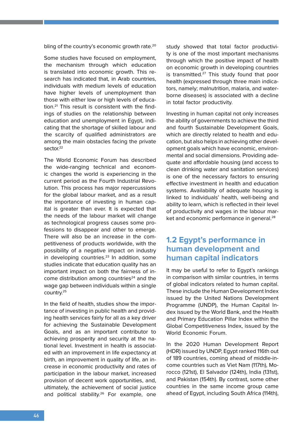bling of the country's economic growth rate.<sup>20</sup>

Some studies have focused on employment, the mechanism through which education is translated into economic growth. This research has indicated that, in Arab countries, individuals with medium levels of education have higher levels of unemployment than those with either low or high levels of education.21 This result is consistent with the findings of studies on the relationship between education and unemployment in Egypt, indicating that the shortage of skilled labour and the scarcity of qualified administrators are among the main obstacles facing the private sector.<sup>22</sup>

The World Economic Forum has described the wide-ranging technical and economic changes the world is experiencing in the current period as the Fourth Industrial Revolution. This process has major repercussions for the global labour market, and as a result the importance of investing in human capital is greater than ever. It is expected that the needs of the labour market will change as technological progress causes some professions to disappear and other to emerge. There will also be an increase in the competitiveness of products worldwide, with the possibility of a negative impact on industry in developing countries. $23$  In addition, some studies indicate that education quality has an important impact on both the fairness of income distribution among countries $24$  and the wage gap between individuals within a single country.25

In the field of health, studies show the importance of investing in public health and providing health services fairly for all as a key driver for achieving the Sustainable Development Goals, and as an important contributor to achieving prosperity and security at the national level. Investment in health is associated with an improvement in life expectancy at birth, an improvement in quality of life, an increase in economic productivity and rates of participation in the labour market, increased provision of decent work opportunities, and, ultimately, the achievement of social justice and political stability.<sup>26</sup> For example, one

study showed that total factor productivity is one of the most important mechanisms through which the positive impact of health on economic growth in developing countries is transmitted.<sup>27</sup> This study found that poor health (expressed through three main indicators, namely; malnutrition, malaria, and waterborne diseases) is associated with a decline in total factor productivity.

Investing in human capital not only increases the ability of governments to achieve the third and fourth Sustainable Development Goals, which are directly related to health and education, but also helps in achieving other development goals which have economic, environmental and social dimensions. Providing adequate and affordable housing (and access to clean drinking water and sanitation services) is one of the necessary factors to ensuring effective investment in health and education systems. Availability of adequate housing is linked to individuals' health, well-being and ability to learn, which is reflected in their level of productivity and wages in the labour market and economic performance in general.<sup>28</sup>

# **1.2 Egypt's performance in human development and human capital indicators**

It may be useful to refer to Egypt's rankings in comparison with similar countries, in terms of global indicators related to human capital. These include the Human Development Index issued by the United Nations Development Programme (UNDP), the Human Capital Index issued by the World Bank, and the Health and Primary Education Pillar Index within the Global Competitiveness Index, issued by the World Economic Forum.

In the 2020 Human Development Report (HDR) issued by UNDP, Egypt ranked 116th out of 189 countries, coming ahead of middle-income countries such as Viet Nam (117th), Morocco (121st), El Salvador (124th), India (131st), and Pakistan (154th). By contrast, some other countries in the same income group came ahead of Egypt, including South Africa (114th),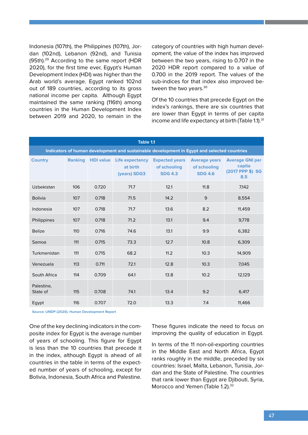Indonesia (107th), the Philippines (107th), Jordan (102nd), Lebanon (92nd), and Tunisia (95th).29 According to the same report (HDR 2020), for the first time ever, Egypt's Human Development Index (HDI) was higher than the Arab world's average. Egypt ranked 102nd out of 189 countries, according to its gross national income per capita. Although Egypt maintained the same ranking (116th) among countries in the Human Development Index between 2019 and 2020, to remain in the category of countries with high human development, the value of the index has improved between the two years, rising to 0.707 in the 2020 HDR report compared to a value of 0.700 in the 2019 report. The values of the sub-indices for that index also improved between the two years.<sup>30</sup>

Of the 10 countries that precede Egypt on the index's rankings, there are six countries that are lower than Egypt in terms of per capita income and life expectancy at birth (Table 1.1).<sup>31</sup>

| Table 1.1              |                                                                                             |                  |                                             |                                                         |                                                        |                                                             |  |  |
|------------------------|---------------------------------------------------------------------------------------------|------------------|---------------------------------------------|---------------------------------------------------------|--------------------------------------------------------|-------------------------------------------------------------|--|--|
|                        | Indicators of human development and sustainable development in Egypt and selected countries |                  |                                             |                                                         |                                                        |                                                             |  |  |
| <b>Country</b>         | <b>Ranking</b>                                                                              | <b>HDI</b> value | Life expectancy<br>at birth<br>(years) SDG3 | <b>Expected years</b><br>of schooling<br><b>SDG 4.3</b> | <b>Average years</b><br>of schooling<br><b>SDG 4.6</b> | <b>Average GNI per</b><br>capita<br>(2017 PPP \$) SG<br>8.5 |  |  |
| Uzbekistan             | 106                                                                                         | 0.720            | 71.7                                        | 12.1                                                    | 11.8                                                   | 7,142                                                       |  |  |
| <b>Bolivia</b>         | 107                                                                                         | 0.718            | 71.5                                        | 14.2                                                    | 9                                                      | 8,554                                                       |  |  |
| Indonesia              | 107                                                                                         | 0.718            | 71.7                                        | 13.6                                                    | 8.2                                                    | 11,459                                                      |  |  |
| Philippines            | 107                                                                                         | 0.718            | 71.2                                        | 13.1                                                    | 9.4                                                    | 9,778                                                       |  |  |
| <b>Belize</b>          | 110                                                                                         | 0.716            | 74.6                                        | 13.1                                                    | 9.9                                                    | 6,382                                                       |  |  |
| Samoa                  | 111                                                                                         | 0.715            | 73.3                                        | 12.7                                                    | 10.8                                                   | 6,309                                                       |  |  |
| Turkmenistan           | 111                                                                                         | 0.715            | 68.2                                        | 11.2                                                    | 10.3                                                   | 14,909                                                      |  |  |
| Venezuela              | 113                                                                                         | 0.711            | 72.1                                        | 12.8                                                    | 10.3                                                   | 7,045                                                       |  |  |
| South Africa           | 114                                                                                         | 0.709            | 64.1                                        | 13.8                                                    | 10.2                                                   | 12,129                                                      |  |  |
| Palestine,<br>State of | 115                                                                                         | 0.708            | 74.1                                        | 13.4                                                    | 9.2                                                    | 6,417                                                       |  |  |
| Egypt                  | 116                                                                                         | 0.707            | 72.0                                        | 13.3                                                    | 7.4                                                    | 11,466                                                      |  |  |

**Source: UNDP (2020). Human Development Report**

One of the key declining indicators in the composite index for Egypt is the average number of years of schooling. This figure for Egypt is less than the 10 countries that precede it in the index, although Egypt is ahead of all countries in the table in terms of the expected number of years of schooling, except for Bolivia, Indonesia, South Africa and Palestine.

These figures indicate the need to focus on improving the quality of education in Egypt.

In terms of the 11 non-oil-exporting countries in the Middle East and North Africa, Egypt ranks roughly in the middle, preceded by six countries: Israel, Malta, Lebanon, Tunisia, Jordan and the State of Palestine. The countries that rank lower than Egypt are Djibouti, Syria, Morocco and Yemen (Table 1.2).<sup>32</sup>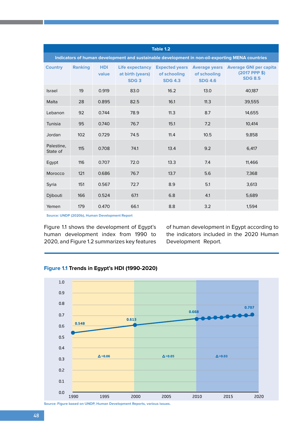|                        | Table 1.2      |                     |                                                         |                                                         |                                                        |                                                                                                 |
|------------------------|----------------|---------------------|---------------------------------------------------------|---------------------------------------------------------|--------------------------------------------------------|-------------------------------------------------------------------------------------------------|
|                        |                |                     |                                                         |                                                         |                                                        | Indicators of human development and sustainable development in non-oil-exporting MENA countries |
| <b>Country</b>         | <b>Ranking</b> | <b>HDI</b><br>value | Life expectancy<br>at birth (years)<br>SDG <sub>3</sub> | <b>Expected years</b><br>of schooling<br><b>SDG 4.3</b> | <b>Average years</b><br>of schooling<br><b>SDG 4.6</b> | <b>Average GNI per capita</b><br>(2017 PPP \$)<br><b>SDG 8.5</b>                                |
| <b>Israel</b>          | 19             | 0.919               | 83.0                                                    | 16.2                                                    | 13.0                                                   | 40,187                                                                                          |
| Malta                  | 28             | 0.895               | 82.5                                                    | 16.1                                                    | 11.3                                                   | 39,555                                                                                          |
| Lebanon                | 92             | 0.744               | 78.9                                                    | 11.3                                                    | 8.7                                                    | 14,655                                                                                          |
| Tunisia                | 95             | 0.740               | 76.7                                                    | 15.1                                                    | 7.2                                                    | 10,414                                                                                          |
| Jordan                 | 102            | 0.729               | 74.5                                                    | 11.4                                                    | 10.5                                                   | 9,858                                                                                           |
| Palestine,<br>State of | 115            | 0.708               | 74.1                                                    | 13.4                                                    | 9.2                                                    | 6,417                                                                                           |
| Egypt                  | 116            | 0.707               | 72.0                                                    | 13.3                                                    | 7.4                                                    | 11,466                                                                                          |
| Morocco                | 121            | 0.686               | 76.7                                                    | 13.7                                                    | 5.6                                                    | 7,368                                                                                           |
| Syria                  | 151            | 0.567               | 72.7                                                    | 8.9                                                     | 5.1                                                    | 3,613                                                                                           |
| Djibouti               | 166            | 0.524               | 67.1                                                    | 6.8                                                     | 4.1                                                    | 5,689                                                                                           |
| Yemen                  | 179            | 0.470               | 66.1                                                    | 8.8                                                     | 3.2                                                    | 1,594                                                                                           |

**Source: UNDP (2020b), Human Development Report**

Figure 1.1 shows the development of Egypt's human development index from 1990 to 2020, and Figure 1.2 summarizes key features of human development in Egypt according to the indicators included in the 2020 Human Development Report.





**Source: Figure based on UNDP, Human Development Reports, various issues.**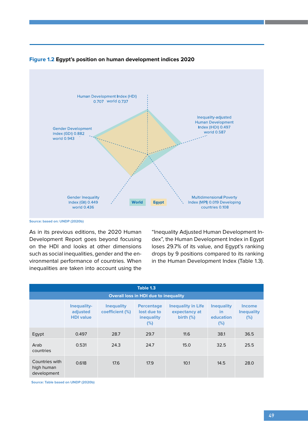

#### **Figure 1.2 Egypt's position on human development indices 2020**

As in its previous editions, the 2020 Human Development Report goes beyond focusing on the HDI and looks at other dimensions such as social inequalities, gender and the environmental performance of countries. When inequalities are taken into account using the

"Inequality Adjusted Human Development Index", the Human Development Index in Egypt loses 29.7% of its value, and Egypt's ranking drops by 9 positions compared to its ranking in the Human Development Index (Table 1.3).

| Table 1.3                                   |                                             |                                      |                                                              |                                                           |                                              |                                           |
|---------------------------------------------|---------------------------------------------|--------------------------------------|--------------------------------------------------------------|-----------------------------------------------------------|----------------------------------------------|-------------------------------------------|
|                                             |                                             |                                      | <b>Overall loss in HDI due to inequality</b>                 |                                                           |                                              |                                           |
|                                             | Inequality-<br>adjusted<br><b>HDI</b> value | <b>Inequality</b><br>coefficient (%) | <b>Percentage</b><br>lost due to<br><b>inequality</b><br>(%) | <b>Inequality in Life</b><br>expectancy at<br>birth $(%)$ | <b>Inequality</b><br>in.<br>education<br>(%) | <b>Income</b><br><b>Inequality</b><br>(%) |
| Egypt                                       | 0.497                                       | 28.7                                 | 29.7                                                         | 11.6                                                      | 38.1                                         | 36.5                                      |
| Arab<br>countries                           | 0.531                                       | 24.3                                 | 24.7                                                         | 15.0                                                      | 32.5                                         | 25.5                                      |
| Countries with<br>high human<br>development | 0.618                                       | 17.6                                 | 17.9                                                         | 10.1                                                      | 14.5                                         | 28.0                                      |

**Source: Table based on UNDP (2020b)**

**Source: based on: UNDP (2020b)**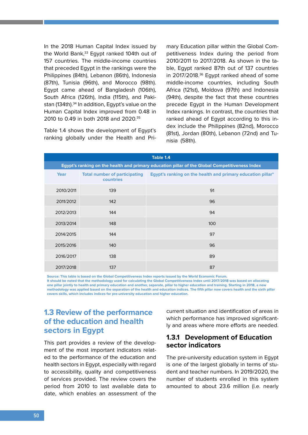In the 2018 Human Capital Index issued by the World Bank,<sup>33</sup> Egypt ranked 104th out of 157 countries. The middle-income countries that preceded Egypt in the rankings were the Philippines (84th), Lebanon (86th), Indonesia (87th), Tunisia (96th), and Morocco (98th). Egypt came ahead of Bangladesh (106th), South Africa (126th), India (115th), and Pakistan (134th).<sup>34</sup> In addition, Egypt's value on the Human Capital Index improved from 0.48 in 2010 to 0.49 in both 2018 and 2020.<sup>35</sup>

Table 1.4 shows the development of Egypt's ranking globally under the Health and Primary Education pillar within the Global Competitiveness Index during the period from 2010/2011 to 2017/2018. As shown in the table, Egypt ranked 87th out of 137 countries in 2017/2018.<sup>36</sup> Egypt ranked ahead of some middle-income countries, including South Africa (121st), Moldova (97th) and Indonesia (94th), despite the fact that these countries precede Egypt in the Human Development Index rankings. In contrast, the countries that ranked ahead of Egypt according to this index include the Philippines (82nd), Morocco (81st), Jordan (80th), Lebanon (72nd) and Tunisia (58th).

|           | Table 1.4                                         |                                                                                                |  |  |  |
|-----------|---------------------------------------------------|------------------------------------------------------------------------------------------------|--|--|--|
|           |                                                   | Egypt's ranking on the health and primary education pillar of the Global Competitiveness Index |  |  |  |
| Year      | <b>Total number of participating</b><br>countries | Egypt's ranking on the health and primary education pillar <sup>*</sup>                        |  |  |  |
| 2010/2011 | 139                                               | 91                                                                                             |  |  |  |
| 2011/2012 | 142                                               | 96                                                                                             |  |  |  |
| 2012/2013 | 144                                               | 94                                                                                             |  |  |  |
| 2013/2014 | 148                                               | 100                                                                                            |  |  |  |
| 2014/2015 | 144                                               | 97                                                                                             |  |  |  |
| 2015/2016 | 140                                               | 96                                                                                             |  |  |  |
| 2016/2017 | 138                                               | 89                                                                                             |  |  |  |
| 2017/2018 | 137                                               | 87                                                                                             |  |  |  |

**Source: This table is based on the Global Competitiveness Index reports issued by the World Economic Forum. It should be noted that the methodology used for calculating the Global Competitiveness Index until 2017/2018 was based on allocating one pillar jointly to health and primary education and another, separate, pillar to higher education and training. Starting in 2018, a new methodology was applied based on the separation of the health and education indices. The fifth pillar now covers health and the sixth pillar covers skills, which includes indices for pre-university education and higher education.**

# **1.3 Review of the performance of the education and health sectors in Egypt**

This part provides a review of the development of the most important indicators related to the performance of the education and health sectors in Egypt, especially with regard to accessibility, quality and competitiveness of services provided. The review covers the period from 2010 to last available data to date, which enables an assessment of the

current situation and identification of areas in which performance has improved significantly and areas where more efforts are needed.

## **1.3.1 Development of Education sector indicators**

The pre-university education system in Egypt is one of the largest globally in terms of student and teacher numbers. In 2019/2020, the number of students enrolled in this system amounted to about 23.6 million (i.e. nearly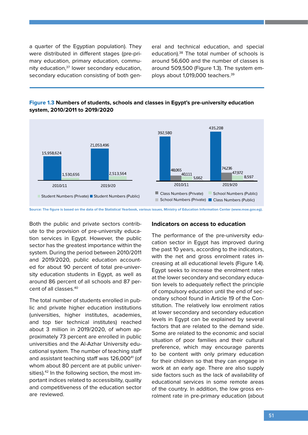a quarter of the Egyptian population). They were distributed in different stages (pre-primary education, primary education, community education,<sup>37</sup> lower secondary education, secondary education consisting of both general and technical education, and special education).<sup>38</sup> The total number of schools is around 56,600 and the number of classes is around 509,500 (Figure 1.3). The system employs about 1,019,000 teachers.<sup>39</sup>

**Figure 1.3 Numbers of students, schools and classes in Egypt's pre-university education system, 2010/2011 to 2019/2020**



**Source: The figure is based on the data of the Statistical Yearbook, various issues, Ministry of Education Information Center (www.moe.gov.eg).** 

Both the public and private sectors contribute to the provision of pre-university education services in Egypt. However, the public sector has the greatest importance within the system. During the period between 2010/2011 and 2019/2020, public education accounted for about 90 percent of total pre-university education students in Egypt, as well as around 86 percent of all schools and 87 percent of all classes.40

The total number of students enrolled in public and private higher education institutions (universities, higher institutes, academies, and top tier technical institutes) reached about 3 million in 2019/2020, of whom approximately 73 percent are enrolled in public universities and the Al-Azhar University educational system. The number of teaching staff and assistant teaching staff was 126,000<sup>41</sup> (of whom about 80 percent are at public universities).<sup>42</sup> In the following section, the most important indices related to accessibility, quality and competitiveness of the education sector are reviewed.

#### **Indicators on access to education**

The performance of the pre-university education sector in Egypt has improved during the past 10 years, according to the indicators, with the net and gross enrolment rates increasing at all educational levels (Figure 1.4). Egypt seeks to increase the enrolment rates at the lower secondary and secondary education levels to adequately reflect the principle of compulsory education until the end of secondary school found in Article 19 of the Constitution. The relatively low enrolment ratios at lower secondary and secondary education levels in Egypt can be explained by several factors that are related to the demand side. Some are related to the economic and social situation of poor families and their cultural preference, which may encourage parents to be content with only primary education for their children so that they can engage in work at an early age. There are also supply side factors such as the lack of availability of educational services in some remote areas of the country. In addition, the low gross enrolment rate in pre-primary education (about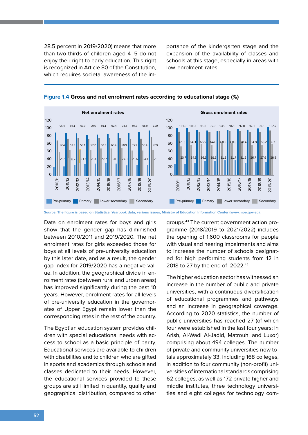28.5 percent in 2019/2020) means that more than two thirds of children aged 4–5 do not enjoy their right to early education. This right is recognized in Article 80 of the Constitution, which requires societal awareness of the importance of the kindergarten stage and the expansion of the availability of classes and schools at this stage, especially in areas with low enrolment rates.





**Source: The figure is based on Statistical Yearbook data, various issues, Ministry of Education Information Center (www.moe.gov.eg).** 

Data on enrolment rates for boys and girls show that the gender gap has diminished between 2010/2011 and 2019/2020. The net enrolment rates for girls exceeded those for boys at all levels of pre-university education by this later date, and as a result, the gender gap index for 2019/2020 has a negative value. In addition, the geographical divide in enrolment rates (between rural and urban areas) has improved significantly during the past 10 years. However, enrolment rates for all levels of pre-university education in the governorates of Upper Egypt remain lower than the corresponding rates in the rest of the country.

The Egyptian education system provides children with special educational needs with access to school as a basic principle of parity. Educational services are available to children with disabilities and to children who are gifted in sports and academics through schools and classes dedicated to their needs. However, the educational services provided to these groups are still limited in quantity, quality and geographical distribution, compared to other groups.43 The current government action programme (2018/2019 to 2021/2022) includes the opening of 1,600 classrooms for people with visual and hearing impairments and aims to increase the number of schools designated for high performing students from 12 in 2018 to 27 by the end of 2022.44

The higher education sector has witnessed an increase in the number of public and private universities, with a continuous diversification of educational programmes and pathways and an increase in geographical coverage. According to 2020 statistics, the number of public universities has reached 27 (of which four were established in the last four years: in Arish, Al-Wadi Al-Jadid, Matrouh, and Luxor) comprising about 494 colleges. The number of private and community universities now totals approximately 33, including 168 colleges, in addition to four community (non-profit) universities of international standards comprising 62 colleges, as well as 172 private higher and middle institutes, three technology universities and eight colleges for technology com-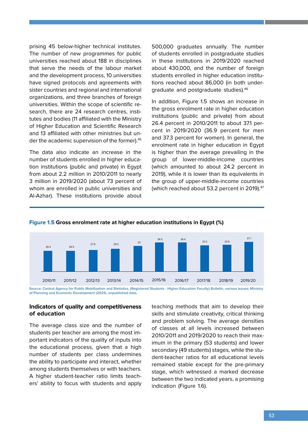prising 45 below-higher technical institutes. The number of new programmes for public universities reached about 188 in disciplines that serve the needs of the labour market and the development process, 10 universities have signed protocols and agreements with sister countries and regional and international organizations, and three branches of foreign universities. Within the scope of scientific research, there are 24 research centres, institutes and bodies (11 affiliated with the Ministry of Higher Education and Scientific Research and 13 affiliated with other ministries but under the academic supervision of the former).<sup>45</sup>

The data also indicate an increase in the number of students enrolled in higher education institutions (public and private) in Egypt from about 2.2 million in 2010/2011 to nearly 3 million in 2019/2020 (about 73 percent of whom are enrolled in public universities and Al-Azhar). These institutions provide about 500,000 graduates annually. The number of students enrolled in postgraduate studies in these institutions in 2019/2020 reached about 430,000, and the number of foreign students enrolled in higher education institutions reached about 86,000 (in both undergraduate and postgraduate studies).46

In addition, Figure 1.5 shows an increase in the gross enrolment rate in higher education institutions (public and private) from about 26.4 percent in 2010/2011 to about 37.1 percent in 2019/2020 (36.9 percent for men and 37.3 percent for women). In general, the enrolment rate in higher education in Egypt is higher than the average prevailing in the group of lower-middle-income countries (which amounted to about 24.2 percent in 2019), while it is lower than its equivalents in the group of upper-middle-income countries (which reached about 53.2 percent in 2019).<sup>47</sup>



#### **Figure 1.5 Gross enrolment rate at higher education institutions in Egypt (%)**

**of Planning and Economic Development (2021), unpublished data.**

#### **Indicators of quality and competitiveness of education**

The average class size and the number of students per teacher are among the most important indicators of the quality of inputs into the educational process, given that a high number of students per class undermines the ability to participate and interact, whether among students themselves or with teachers. A higher student-teacher ratio limits teachers' ability to focus with students and apply teaching methods that aim to develop their skills and stimulate creativity, critical thinking and problem solving. The average densities of classes at all levels increased between 2010/2011 and 2019/2020 to reach their maximum in the primary (53 students) and lower secondary (49 students) stages, while the student-teacher ratios for all educational levels remained stable except for the pre-primary stage, which witnessed a marked decrease between the two indicated years, a promising indication (Figure 1.6).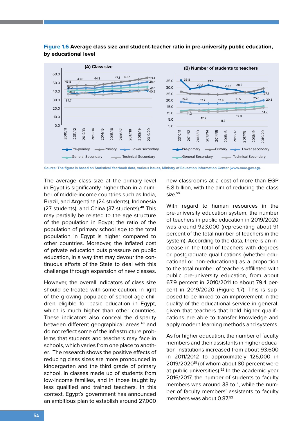

**Figure 1.6 Average class size and student-teacher ratio in pre-university public education, by educational level**

**Source: The figure is based on Statistical Yearbook data, various issues, Ministry of Education Information Center (www.moe.gov.eg).**

The average class size at the primary level in Egypt is significantly higher than in a number of middle-income countries such as India, Brazil, and Argentina (24 students), Indonesia (27 students), and China (37 students).<sup>48</sup> This may partially be related to the age structure of the population in Egypt; the ratio of the population of primary school age to the total population in Egypt is higher compared to other countries. Moreover, the inflated cost of private education puts pressure on public education, in a way that may devour the continuous efforts of the State to deal with this challenge through expansion of new classes.

However, the overall indicators of class size should be treated with some caution, in light of the growing populace of school age children eligible for basic education in Egypt, which is much higher than other countries. These indicators also conceal the disparity between different geographical areas<sup>49</sup> and do not reflect some of the infrastructure problems that students and teachers may face in schools, which varies from one place to another. The research shows the positive effects of reducing class sizes are more pronounced in kindergarten and the third grade of primary school, in classes made up of students from low-income families, and in those taught by less qualified and trained teachers. In this context, Egypt's government has announced an ambitious plan to establish around 27,000 new classrooms at a cost of more than EGP 6.8 billion, with the aim of reducing the class size.<sup>50</sup>

With regard to human resources in the pre-university education system, the number of teachers in public education in 2019/2020 was around 923,000 (representing about 91 percent of the total number of teachers in the system). According to the data, there is an increase in the total of teachers with degrees or postgraduate qualifications (whether educational or non-educational) as a proportion to the total number of teachers affiliated with public pre-university education, from about 67.9 percent in 2010/2011 to about 79.4 percent in 2019/2020 (Figure 1.7). This is supposed to be linked to an improvement in the quality of the educational service in general, given that teachers that hold higher qualifications are able to transfer knowledge and apply modern learning methods and systems.

As for higher education, the number of faculty members and their assistants in higher education institutions increased from about 93,600 in 2011/2012 to approximately 126,000 in 2019/2020<sup>51</sup> (of whom about 80 percent were at public universities).<sup>52</sup> In the academic year 2016/2017, the number of students to faculty members was around 33 to 1, while the number of faculty members' assistants to faculty members was about 0.87.<sup>53</sup>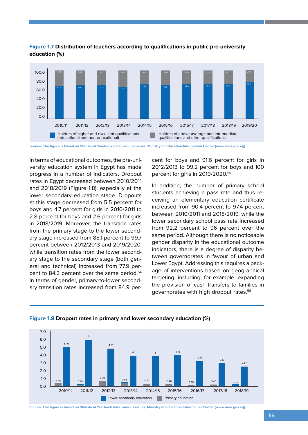

#### **Figure 1.7 Distribution of teachers according to qualifications in public pre-university education (%)**

**Source: The figure is based on Statistical Yearbook data, various issues, Ministry of Education Information Center (www.moe.gov.eg)**

In terms of educational outcomes, the pre-university education system in Egypt has made progress in a number of indicators. Dropout rates in Egypt decreased between 2010/2011 and 2018/2019 (Figure 1.8), especially at the lower secondary education stage. Dropouts at this stage decreased from 5.5 percent for boys and 4.7 percent for girls in 2010/2011 to 2.8 percent for boys and 2.6 percent for girls in 2018/2019. Moreover, the transition rates from the primary stage to the lower secondary stage increased from 88.1 percent to 99.7 percent between 2012/2013 and 2019/2020, while transition rates from the lower secondary stage to the secondary stage (both general and technical) increased from 77.9 percent to 84.3 percent over the same period.<sup>54</sup> In terms of gender, primary-to-lower secondary transition rates increased from 84.9 percent for boys and 91.6 percent for girls in 2012/2013 to 99.2 percent for boys and 100 percent for girls in 2019/2020.<sup>55</sup>

In addition, the number of primary school students achieving a pass rate and thus receiving an elementary education certificate increased from 90.4 percent to 97.4 percent between 2010/2011 and 2018/2019, while the lower secondary school pass rate increased from 92.2 percent to 96 percent over the same period. Although there is no noticeable gender disparity in the educational outcome indicators, there is a degree of disparity between governorates in favour of urban and Lower Egypt. Addressing this requires a package of interventions based on geographical targeting, including, for example, expanding the provision of cash transfers to families in governorates with high dropout rates.<sup>56</sup>



#### **Figure 1.8 Dropout rates in primary and lower secondary education (%)**

**Source: The figure is based on Statistical Yearbook data, various issues, Ministry of Education Information Center (www.moe.gov.eg).**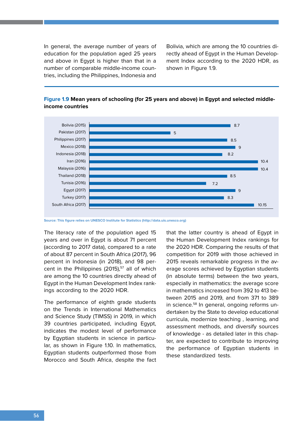In general, the average number of years of education for the population aged 25 years and above in Egypt is higher than that in a number of comparable middle-income countries, including the Philippines, Indonesia and Bolivia, which are among the 10 countries directly ahead of Egypt in the Human Development Index according to the 2020 HDR, as shown in Figure 1.9.



#### **Figure 1.9 Mean years of schooling (for 25 years and above) in Egypt and selected middleincome countries**

**Source: This figure relies on UNESCO Institute for Statistics (http://data.uis.unesco.org)**

The literacy rate of the population aged 15 years and over in Egypt is about 71 percent (according to 2017 data), compared to a rate of about 87 percent in South Africa (2017), 96 percent in Indonesia (in 2018), and 98 percent in the Philippines  $(2015)$ ,  $57$  all of which are among the 10 countries directly ahead of Egypt in the Human Development Index rankings according to the 2020 HDR.

The performance of eighth grade students on the Trends in International Mathematics and Science Study (TIMSS) in 2019, in which 39 countries participated, including Egypt, indicates the modest level of performance by Egyptian students in science in particular, as shown in Figure 1.10. In mathematics, Egyptian students outperformed those from Morocco and South Africa, despite the fact that the latter country is ahead of Egypt in the Human Development Index rankings for the 2020 HDR. Comparing the results of that competition for 2019 with those achieved in 2015 reveals remarkable progress in the average scores achieved by Egyptian students (in absolute terms) between the two years, especially in mathematics: the average score in mathematics increased from 392 to 413 between 2015 and 2019, and from 371 to 389 in science.<sup>58</sup> In general, ongoing reforms undertaken by the State to develop educational curricula, modernize teaching , learning, and assessment methods, and diversify sources of knowledge - as detailed later in this chapter, are expected to contribute to improving the performance of Egyptian students in these standardized tests.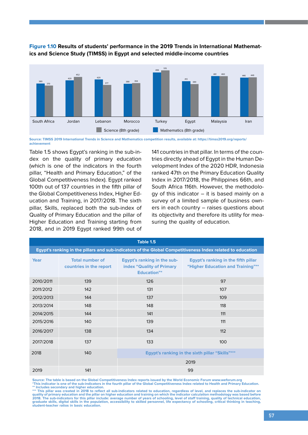

**Figure 1.10 Results of students' performance in the 2019 Trends in International Mathematics and Science Study (TIMSS) in Egypt and selected middle-income countries**

**Source: TIMSS 2019 International Trends in Science and Mathematics competition results, available at: https://timss2019.org/reports/ achievement** 

Table 1.5 shows Egypt's ranking in the sub-index on the quality of primary education (which is one of the indicators in the fourth pillar, "Health and Primary Education," of the Global Competitiveness Index). Egypt ranked 100th out of 137 countries in the fifth pillar of the Global Competitiveness Index, Higher Education and Training, in 2017/2018. The sixth pillar, Skills, replaced both the sub-index of Quality of Primary Education and the pillar of Higher Education and Training starting from 2018, and in 2019 Egypt ranked 99th out of 141 countries in that pillar. In terms of the countries directly ahead of Egypt in the Human Development Index of the 2020 HDR, Indonesia ranked 47th on the Primary Education Quality Index in 2017/2018, the Philippines 66th, and South Africa 116th. However, the methodology of this indicator – it is based mainly on a survey of a limited sample of business owners in each country – raises questions about its objectivity and therefore its utility for measuring the quality of education.

|           | Table 1.5                                         |                                                                                 |                                                                                                            |  |  |  |
|-----------|---------------------------------------------------|---------------------------------------------------------------------------------|------------------------------------------------------------------------------------------------------------|--|--|--|
|           |                                                   |                                                                                 | Egypt's ranking in the pillars and sub-indicators of the Global Competitiveness Index related to education |  |  |  |
| Year      | <b>Total number of</b><br>countries in the report | Egypt's ranking in the sub-<br>index "Quality of Primary<br><b>Education</b> "* | Egypt's ranking in the fifth pillar<br>"Higher Education and Training"**                                   |  |  |  |
| 2010/2011 | 139                                               | 126                                                                             | 97                                                                                                         |  |  |  |
| 2011/2012 | 142                                               | 131                                                                             | 107                                                                                                        |  |  |  |
| 2012/2013 | 144                                               | 137                                                                             | 109                                                                                                        |  |  |  |
| 2013/2014 | 148                                               | 148                                                                             | 118                                                                                                        |  |  |  |
| 2014/2015 | 144                                               | 141                                                                             | 111                                                                                                        |  |  |  |
| 2015/2016 | 140                                               | 139                                                                             | 111                                                                                                        |  |  |  |
| 2016/2017 | 138                                               | 134                                                                             | 112                                                                                                        |  |  |  |
| 2017/2018 | 137                                               | 133                                                                             | 100                                                                                                        |  |  |  |
| 2018      | 140                                               | Egypt's ranking in the sixth pillar "Skills"***                                 |                                                                                                            |  |  |  |
|           |                                                   | 2019                                                                            |                                                                                                            |  |  |  |
| 2019      | 141                                               |                                                                                 | 99                                                                                                         |  |  |  |

**Source: The table is based on the Global Competitiveness Index reports issued by the World Economic Forum www.weforum.org**

\*This indicator is one of the sub-indicators in the fourth pillar of the Global Competitiveness Index related to Health and Primary Education.<br>\*\* Includes secondary and higher education.<br>\*\*\* This pillar was created in 2018

2018. The sub-indicators for this pillar include: average number of years of schooling, level of staff training, quality of technical education,<br>graduate skills, digital skills in the population, accessibility to skilled p **student-teacher ratios in basic education.**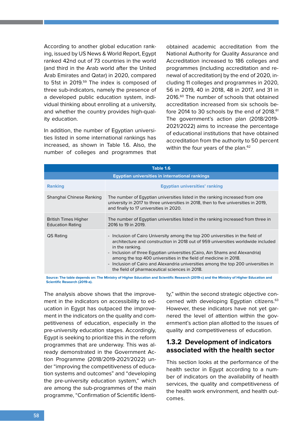According to another global education ranking, issued by US News & World Report, Egypt ranked 42nd out of 73 countries in the world (and third in the Arab world after the United Arab Emirates and Qatar) in 2020, compared to 51st in 2019.<sup>59</sup> The index is composed of three sub-indicators, namely the presence of a developed public education system, individual thinking about enrolling at a university, and whether the country provides high-quality education.

In addition, the number of Egyptian universities listed in some international rankings has increased, as shown in Table 1.6. Also, the number of colleges and programmes that obtained academic accreditation from the National Authority for Quality Assurance and Accreditation increased to 186 colleges and programmes (including accreditation and renewal of accreditation) by the end of 2020, including 11 colleges and programmes in 2020, 56 in 2019, 40 in 2018, 48 in 2017, and 31 in 2016.<sup>60</sup> The number of schools that obtained accreditation increased from six schools before 2014 to 30 schools by the end of 2018.<sup>61</sup> The government's action plan (2018/2019- 2021/2022) aims to increase the percentage of educational institutions that have obtained accreditation from the authority to 50 percent within the four years of the plan.<sup>62</sup>

|                                                        | Table 1.6                                                                                                                                                                                                                                                                                                                                                                                                                                                                        |  |  |  |  |
|--------------------------------------------------------|----------------------------------------------------------------------------------------------------------------------------------------------------------------------------------------------------------------------------------------------------------------------------------------------------------------------------------------------------------------------------------------------------------------------------------------------------------------------------------|--|--|--|--|
| Egyptian universities in international rankings        |                                                                                                                                                                                                                                                                                                                                                                                                                                                                                  |  |  |  |  |
| <b>Ranking</b>                                         | <b>Egyptian universities' ranking</b>                                                                                                                                                                                                                                                                                                                                                                                                                                            |  |  |  |  |
| Shanghai Chinese Ranking                               | The number of Eqyptian universities listed in the ranking increased from one<br>university in 2017 to three universities in 2018, then to five universities in 2019,<br>and finally to 17 universities in 2020.                                                                                                                                                                                                                                                                  |  |  |  |  |
| <b>British Times Higher</b><br><b>Education Rating</b> | The number of Eqyptian universities listed in the ranking increased from three in<br>2016 to 19 in 2019.                                                                                                                                                                                                                                                                                                                                                                         |  |  |  |  |
| QS Rating                                              | - Inclusion of Cairo University among the top 200 universities in the field of<br>architecture and construction in 2018 out of 959 universities worldwide included<br>in the ranking.<br>- Inclusion of three Egyptian universities (Cairo, Ain Shams and Alexandria)<br>among the top 400 universities in the field of medicine in 2018.<br>- Inclusion of Cairo and Alexandria universities among the top 200 universities in<br>the field of pharmaceutical sciences in 2018. |  |  |  |  |

**Source: The table depends on: The Ministry of Higher Education and Scientific Research (2019-c) and the Ministry of Higher Education and Scientific Research (2019-a).**

The analysis above shows that the improvement in the indicators on accessibility to education in Egypt has outpaced the improvement in the indicators on the quality and competitiveness of education, especially in the pre-university education stages. Accordingly, Egypt is seeking to prioritize this in the reform programmes that are underway. This was already demonstrated in the Government Action Programme (2018/2019-2021/2022) under "improving the competitiveness of education systems and outcomes" and "developing the pre-university education system," which are among the sub-programmes of the main programme, "Confirmation of Scientific Identity," within the second strategic objective concerned with developing Egyptian citizens.<sup>63</sup> However, these indicators have not yet garnered the level of attention within the government's action plan allotted to the issues of quality and competitiveness of education.

## **1.3.2 Development of indicators associated with the health sector**

This section looks at the performance of the health sector in Egypt according to a number of indicators on the availability of health services, the quality and competitiveness of the health work environment, and health outcomes.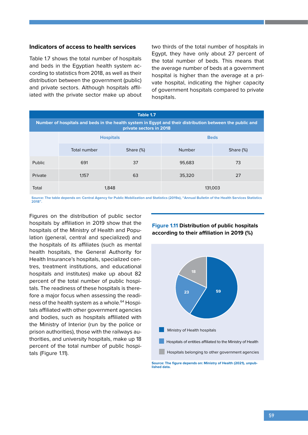#### **Indicators of access to health services**

Table 1.7 shows the total number of hospitals and beds in the Egyptian health system according to statistics from 2018, as well as their distribution between the government (public) and private sectors. Although hospitals affiliated with the private sector make up about two thirds of the total number of hospitals in Egypt, they have only about 27 percent of the total number of beds. This means that the average number of beds at a government hospital is higher than the average at a private hospital, indicating the higher capacity of government hospitals compared to private hospitals.

| Table 1.7     |                                                                                                                                     |              |               |           |  |  |  |
|---------------|-------------------------------------------------------------------------------------------------------------------------------------|--------------|---------------|-----------|--|--|--|
|               | Number of hospitals and beds in the health system in Egypt and their distribution between the public and<br>private sectors in 2018 |              |               |           |  |  |  |
|               | <b>Hospitals</b><br><b>Beds</b>                                                                                                     |              |               |           |  |  |  |
|               | Total number                                                                                                                        | Share $(\%)$ | <b>Number</b> | Share (%) |  |  |  |
| <b>Public</b> | 691                                                                                                                                 | 37           | 95,683        | 73        |  |  |  |
| Private       | 1,157                                                                                                                               | 63           | 35,320        | 27        |  |  |  |
| Total         | 1.848                                                                                                                               |              | 131,003       |           |  |  |  |

**Source: The table depends on: Central Agency for Public Mobilization and Statistics (2019a), "Annual Bulletin of the Health Services Statistics 2018".**

Figures on the distribution of public sector hospitals by affiliation in 2019 show that the hospitals of the Ministry of Health and Population (general, central and specialized) and the hospitals of its affiliates (such as mental health hospitals, the General Authority for Health Insurance's hospitals, specialized centres, treatment institutions, and educational hospitals and institutes) make up about 82 percent of the total number of public hospitals. The readiness of these hospitals is therefore a major focus when assessing the readiness of the health system as a whole.<sup>64</sup> Hospitals affiliated with other government agencies and bodies, such as hospitals affiliated with the Ministry of Interior (run by the police or prison authorities), those with the railways authorities, and university hospitals, make up 18 percent of the total number of public hospitals (Figure 1.11).

**Figure 1.11 Distribution of public hospitals according to their affiliation in 2019 (%)**

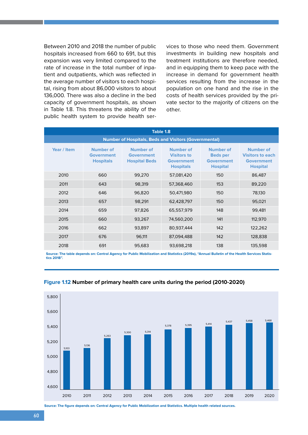Between 2010 and 2018 the number of public hospitals increased from 660 to 691, but this expansion was very limited compared to the rate of increase in the total number of inpatient and outpatients, which was reflected in the average number of visitors to each hospital, rising from about 86,000 visitors to about 136,000. There was also a decline in the bed capacity of government hospitals, as shown in Table 1.8. This threatens the ability of the public health system to provide health services to those who need them. Government investments in building new hospitals and treatment institutions are therefore needed, and in equipping them to keep pace with the increase in demand for government health services resulting from the increase in the population on one hand and the rise in the costs of health services provided by the private sector to the majority of citizens on the other.

| Table 1.8   |                                                           |                                                              |                                                                          |                                                                      |                                                                              |  |
|-------------|-----------------------------------------------------------|--------------------------------------------------------------|--------------------------------------------------------------------------|----------------------------------------------------------------------|------------------------------------------------------------------------------|--|
|             |                                                           | <b>Number of Hospitals, Beds and Visitors (Governmental)</b> |                                                                          |                                                                      |                                                                              |  |
| Year / Item | <b>Number of</b><br><b>Government</b><br><b>Hospitals</b> | Number of<br><b>Government</b><br><b>Hospital Beds</b>       | Number of<br><b>Visitors to</b><br><b>Government</b><br><b>Hospitals</b> | Number of<br><b>Beds per</b><br><b>Government</b><br><b>Hospital</b> | <b>Number of</b><br><b>Visitors to each</b><br>Government<br><b>Hospital</b> |  |
| 2010        | 660                                                       | 99,270                                                       | 57,081,420                                                               | 150                                                                  | 86,487                                                                       |  |
| 2011        | 643                                                       | 98,319                                                       | 57,368,460                                                               | 153                                                                  | 89,220                                                                       |  |
| 2012        | 646                                                       | 96,820                                                       | 50,471,980                                                               | 150                                                                  | 78,130                                                                       |  |
| 2013        | 657                                                       | 98,291                                                       | 62,428,797                                                               | 150                                                                  | 95,021                                                                       |  |
| 2014        | 659                                                       | 97,826                                                       | 65,557,979                                                               | 148                                                                  | 99,481                                                                       |  |
| 2015        | 660                                                       | 93,267                                                       | 74,560,200                                                               | 141                                                                  | 112,970                                                                      |  |
| 2016        | 662                                                       | 93,897                                                       | 80,937,444                                                               | 142                                                                  | 122,262                                                                      |  |
| 2017        | 676                                                       | 96,111                                                       | 87,094,488                                                               | 142                                                                  | 128,838                                                                      |  |
| 2018        | 691                                                       | 95.683                                                       | 93,698,218                                                               | 138                                                                  | 135,598                                                                      |  |

**Source: The table depends on: Central Agency for Public Mobilization and Statistics (2019a), "Annual Bulletin of the Health Services Statistics 2018".**



**Figure 1.12 Number of primary health care units during the period (2010-2020)**

**Source: The figure depends on: Central Agency for Public Mobilization and Statistics. Multiple health related sources.**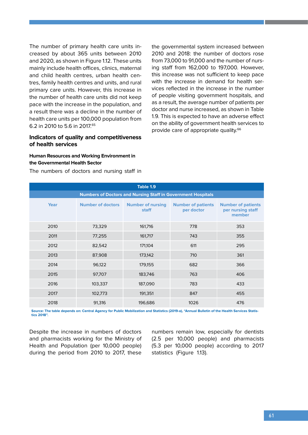The number of primary health care units increased by about 365 units between 2010 and 2020, as shown in Figure 1.12. These units mainly include health offices, clinics, maternal and child health centres, urban health centres, family health centres and units, and rural primary care units. However, this increase in the number of health care units did not keep pace with the increase in the population, and a result there was a decline in the number of health care units per 100,000 population from 6.2 in 2010 to 5.6 in 2017.65

**Indicators of quality and competitiveness of health services**

#### **Human Resources and Working Environment in the Governmental Health Sector**

The numbers of doctors and nursing staff in

the governmental system increased between 2010 and 2018: the number of doctors rose from 73,000 to 91,000 and the number of nursing staff from 162,000 to 197,000. However, this increase was not sufficient to keep pace with the increase in demand for health services reflected in the increase in the number of people visiting government hospitals, and as a result, the average number of patients per doctor and nurse increased, as shown in Table 1.9. This is expected to have an adverse effect on the ability of government health services to provide care of appropriate quality.<sup>66</sup>

|                                                                     | Table 1.9                |                                          |                                         |                                                          |  |  |
|---------------------------------------------------------------------|--------------------------|------------------------------------------|-----------------------------------------|----------------------------------------------------------|--|--|
| <b>Numbers of Doctors and Nursing Staff in Government Hospitals</b> |                          |                                          |                                         |                                                          |  |  |
| Year                                                                | <b>Number of doctors</b> | <b>Number of nursing</b><br><b>staff</b> | <b>Number of patients</b><br>per doctor | <b>Number of patients</b><br>per nursing staff<br>member |  |  |
| 2010                                                                | 73,329                   | 161,716                                  | 778                                     | 353                                                      |  |  |
| 2011                                                                | 77,255                   | 161,717                                  | 743                                     | 355                                                      |  |  |
| 2012                                                                | 82,542                   | 171,104                                  | 611                                     | 295                                                      |  |  |
| 2013                                                                | 87,908                   | 173,142                                  | 710                                     | 361                                                      |  |  |
| 2014                                                                | 96,122                   | 179,155                                  | 682                                     | 366                                                      |  |  |
| 2015                                                                | 97,707                   | 183,746                                  | 763                                     | 406                                                      |  |  |
| 2016                                                                | 103,337                  | 187,090                                  | 783                                     | 433                                                      |  |  |
| 2017                                                                | 102,773                  | 191,351                                  | 847                                     | 455                                                      |  |  |
| 2018                                                                | 91,316                   | 196,686                                  | 1026                                    | 476                                                      |  |  |

**Source: The table depends on: Central Agency for Public Mobilization and Statistics (2019-a), "Annual Bulletin of the Health Services Statistics 2018".**

Despite the increase in numbers of doctors and pharmacists working for the Ministry of Health and Population (per 10,000 people) during the period from 2010 to 2017, these

numbers remain low, especially for dentists (2.5 per 10,000 people) and pharmacists (5.3 per 10,000 people) according to 2017 statistics (Figure 1.13).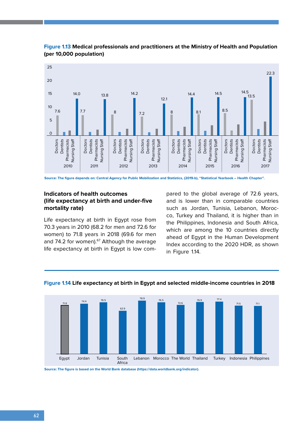

**Figure 1.13 Medical professionals and practitioners at the Ministry of Health and Population (per 10,000 population)**

**Source: The figure depends on: Central Agency for Public Mobilization and Statistics, (2019-b), "Statistical Yearbook – Health Chapter".**

#### **Indicators of health outcomes (life expectancy at birth and under-five mortality rate)**

Life expectancy at birth in Egypt rose from 70.3 years in 2010 (68.2 for men and 72.6 for women) to 71.8 years in 2018 (69.6 for men and 74.2 for women). $67$  Although the average life expectancy at birth in Egypt is low compared to the global average of 72.6 years, and is lower than in comparable countries such as Jordan, Tunisia, Lebanon, Morocco, Turkey and Thailand, it is higher than in the Philippines, Indonesia and South Africa, which are among the 10 countries directly ahead of Egypt in the Human Development Index according to the 2020 HDR, as shown in Figure 1.14.



**Figure 1.14 Life expectancy at birth in Egypt and selected middle-income countries in 2018**

**Source: The figure is based on the World Bank database (https://data.worldbank.org/indicator).**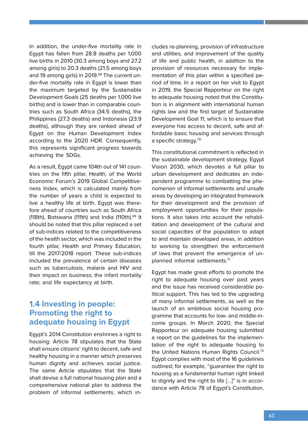In addition, the under-five mortality rate in Egypt has fallen from 28.8 deaths per 1,000 live births in 2010 (30.3 among boys and 27.2 among girls) to 20.3 deaths (21.5 among boys and 19 among girls) in 2019.<sup>68</sup> The current under-five mortality rate in Egypt is lower than the maximum targeted by the Sustainable Development Goals (25 deaths per 1,000 live births) and is lower than in comparable countries such as South Africa (34.5 deaths), the Philippines (27.3 deaths) and Indonesia (23.9 deaths), although they are ranked ahead of Egypt on the Human Development Index according to the 2020 HDR. Consequently, this represents significant progress towards achieving the SDGs.

As a result, Egypt came 104th out of 141 countries on the fifth pillar, Health, of the World Economic Forum's 2019 Global Competitiveness Index, which is calculated mainly from the number of years a child is expected to live a healthy life at birth. Egypt was therefore ahead of countries such as South Africa (118th), Botswana (111th) and India (110th).69 It should be noted that this pillar replaced a set of sub-indices related to the competitiveness of the health sector, which was included in the fourth pillar, Health and Primary Education, till the 2017/2018 report. These sub-indices included the prevalence of certain diseases such as tuberculosis, malaria and HIV and their impact on business; the infant mortality rate; and life expectancy at birth.

# **1.4 Investing in people: Promoting the right to adequate housing in Egypt**

Egypt's 2014 Constitution enshrines a right to housing: Article 78 stipulates that the State shall ensure citizens' right to decent, safe and healthy housing in a manner which preserves human dignity and achieves social justice. The same Article stipulates that the State shall devise a full national housing plan and a comprehensive national plan to address the problem of informal settlements, which in-

cludes re-planning, provision of infrastructure and utilities, and improvement of the quality of life and public health, in addition to the provision of resources necessary for implementation of this plan within a specified period of time. In a report on her visit to Egypt in 2019, the Special Rapporteur on the right to adequate housing noted that the Constitution is in alignment with international human rights law and the first target of Sustainable Development Goal 11, which is to ensure that everyone has access to decent, safe and affordable basic housing and services through a specific strategy.<sup>70</sup>

This constitutional commitment is reflected in the sustainable development strategy, Egypt Vision 2030, which devotes a full pillar to urban development and dedicates an independent programme to combatting the phenomenon of informal settlements and unsafe areas by developing an integrated framework for their development and the provision of employment opportunities for their populations. It also takes into account the rehabilitation and development of the cultural and social capacities of the population to adapt to and maintain developed areas, in addition to working to strengthen the enforcement of laws that prevent the emergence of unplanned informal settlements.<sup>71</sup>

Egypt has made great efforts to promote the right to adequate housing over past years and the issue has received considerable political support. This has led to the upgrading of many informal settlements, as well as the launch of an ambitious social housing programme that accounts for low- and middle-income groups. In March 2020, the Special Rapporteur on adequate housing submitted a report on the guidelines for the implementation of the right to adequate housing to the United Nations Human Rights Council.<sup>72</sup> Egypt complies with most of the 16 guidelines outlined; for example, "guarantee the right to housing as a fundamental human right linked to dignity and the right to life […]" is in accordance with Article 78 of Egypt's Constitution.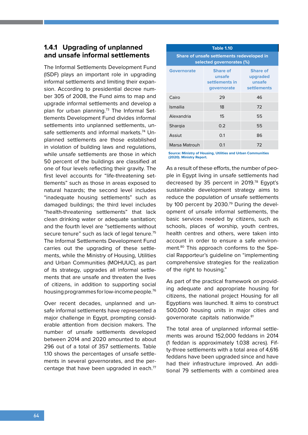## **1.4.1 Upgrading of unplanned and unsafe informal settlements**

The Informal Settlements Development Fund (ISDF) plays an important role in upgrading informal settlements and limiting their expansion. According to presidential decree number 305 of 2008, the Fund aims to map and upgrade informal settlements and develop a plan for urban planning.<sup>73</sup> The Informal Settlements Development Fund divides informal settlements into unplanned settlements, unsafe settlements and informal markets.<sup>74</sup> Unplanned settlements are those established in violation of building laws and regulations, while unsafe settlements are those in which 50 percent of the buildings are classified at one of four levels reflecting their gravity. The first level accounts for "life-threatening settlements" such as those in areas exposed to natural hazards; the second level includes "inadequate housing settlements" such as damaged buildings; the third level includes "health-threatening settlements" that lack clean drinking water or adequate sanitation; and the fourth level are "settlements without secure tenure" such as lack of legal tenure.<sup>75</sup> The Informal Settlements Development Fund carries out the upgrading of these settlements, while the Ministry of Housing, Utilities and Urban Communities (MOHUUC), as part of its strategy, upgrades all informal settlements that are unsafe and threaten the lives of citizens, in addition to supporting social housing programmes for low-income people.<sup>76</sup>

Over recent decades, unplanned and unsafe informal settlements have represented a major challenge in Egypt, prompting considerable attention from decision makers. The number of unsafe settlements developed between 2014 and 2020 amounted to about 296 out of a total of 357 settlements. Table 1.10 shows the percentages of unsafe settlements in several governorates, and the percentage that have been upgraded in each. $77$ 

| <b>Table 1.10</b>                                                       |                                                            |                                                      |  |  |  |
|-------------------------------------------------------------------------|------------------------------------------------------------|------------------------------------------------------|--|--|--|
| Share of unsafe settlements redeveloped in<br>selected governorates (%) |                                                            |                                                      |  |  |  |
| <b>Governorate</b>                                                      | <b>Share of</b><br>unsafe<br>settlements in<br>governorate | <b>Share of</b><br>upgraded<br>unsafe<br>settlements |  |  |  |
| Cairo                                                                   | 29                                                         | 46                                                   |  |  |  |
| Ismailia                                                                | 18                                                         | 72                                                   |  |  |  |
| Alexandria                                                              | 15                                                         | 55                                                   |  |  |  |
| Shargia                                                                 | 0.2                                                        | 55                                                   |  |  |  |
| Assiut                                                                  | 0.1                                                        | 86                                                   |  |  |  |
| Marsa Matrouh                                                           | 0.1                                                        | 72                                                   |  |  |  |

**Source: Ministry of Housing, Utilities and Urban Communities (2020). Ministry Report.**

As a result of these efforts, the number of people in Egypt living in unsafe settlements had decreased by 35 percent in 2019.<sup>78</sup> Egypt's sustainable development strategy aims to reduce the population of unsafe settlements by 100 percent by 2030.<sup>79</sup> During the development of unsafe informal settlements, the basic services needed by citizens, such as schools, places of worship, youth centres, health centres and others, were taken into account in order to ensure a safe environment.<sup>80</sup> This approach conforms to the Special Rapporteur's guideline on "implementing comprehensive strategies for the realization of the right to housing."

As part of the practical framework on providing adequate and appropriate housing for citizens, the national project Housing for all Egyptians was launched. It aims to construct 500,000 housing units in major cities and governorate capitals nationwide.<sup>81</sup>

The total area of unplanned informal settlements was around 152,000 feddans in 2014 (1 feddan is approximately 1.038 acres). Fifty-three settlements with a total area of 4,616 feddans have been upgraded since and have had their infrastructure improved. An additional 79 settlements with a combined area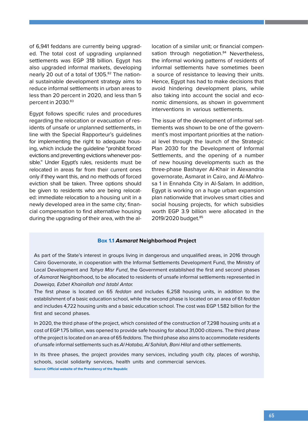of 6,941 feddans are currently being upgraded. The total cost of upgrading unplanned settlements was EGP 318 billion. Egypt has also upgraded informal markets, developing nearly 20 out of a total of 1,105.82 The national sustainable development strategy aims to reduce informal settlements in urban areas to less than 20 percent in 2020, and less than 5 percent in 2030.83

Egypt follows specific rules and procedures regarding the relocation or evacuation of residents of unsafe or unplanned settlements, in line with the Special Rapporteur's guidelines for implementing the right to adequate housing, which include the guideline "prohibit forced evictions and preventing evictions whenever possible." Under Egypt's rules, residents must be relocated in areas far from their current ones only if they want this, and no methods of forced eviction shall be taken. Three options should be given to residents who are being relocated: immediate relocation to a housing unit in a newly developed area in the same city; financial compensation to find alternative housing during the upgrading of their area, with the al-

location of a similar unit; or financial compensation through negotiation.<sup>84</sup> Nevertheless, the informal working patterns of residents of informal settlements have sometimes been a source of resistance to leaving their units. Hence, Egypt has had to make decisions that avoid hindering development plans, while also taking into account the social and economic dimensions, as shown in government interventions in various settlements.

The issue of the development of informal settlements was shown to be one of the government's most important priorities at the national level through the launch of the Strategic Plan 2030 for the Development of Informal Settlements, and the opening of a number of new housing developments such as the three-phase Bashayer Al-Khair in Alexandria governorate, Asmarat in Cairo, and Al-Mahrosa 1 in Ennahda City in Al-Salam. In addition, Egypt is working on a huge urban expansion plan nationwide that involves smart cities and social housing projects, for which subsidies worth EGP 3.9 billion were allocated in the 2019/2020 budget.<sup>85</sup>

#### **Box 1.1 Asmarat Neighborhood Project**

As part of the State's interest in groups living in dangerous and unqualified areas, in 2016 through Cairo Governorate, in cooperation with the Informal Settlements Development Fund, the Ministry of Local Development and Tahya Misr Fund, the Government established the first and second phases of Asmarat Neighborhood, to be allocated to residents of unsafe informal settlements represented in Doweiqa, Ezbet Khairallah and Istabl Antar.

The first phase is located on 65 feddan and includes 6,258 housing units, in addition to the establishment of a basic education school, while the second phase is located on an area of 61 feddan and includes 4,722 housing units and a basic education school. The cost was EGP 1.582 billion for the first and second phases.

In 2020, the third phase of the project, which consisted of the construction of 7,298 housing units at a cost of EGP 1.75 billion, was opened to provide safe housing for about 31,000 citizens. The third phase of the project is located on an area of 65 feddans. The third phase also aims to accommodate residents of unsafe informal settlements such as Al Hataba, Al Sahilah, Bani Hilal and other settlements.

In its three phases, the project provides many services, including youth city, places of worship, schools, social solidarity services, health units and commercial services. **Source: Official website of the Presidency of the Republic**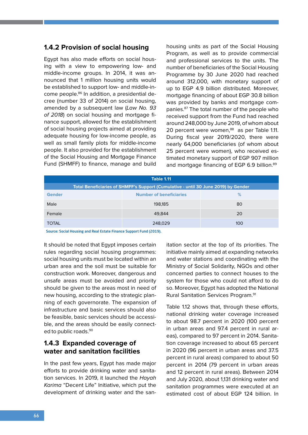## **1.4.2 Provision of social housing**

Egypt has also made efforts on social housing with a view to empowering low- and middle-income groups. In 2014, it was announced that 1 million housing units would be established to support low- and middle-income people.<sup>86</sup> In addition, a presidential decree (number 33 of 2014) on social housing, amended by a subsequent law (Law No. 93 of 2018) on social housing and mortgage finance support, allowed for the establishment of social housing projects aimed at providing adequate housing for low-income people, as well as small family plots for middle-income people. It also provided for the establishment of the Social Housing and Mortgage Finance Fund (SHMFF) to finance, manage and build housing units as part of the Social Housing Program, as well as to provide commercial and professional services to the units. The number of beneficiaries of the Social Housing Programme by 30 June 2020 had reached around 312,000, with monetary support of up to EGP 4.9 billion distributed. Moreover, mortgage financing of about EGP 30.8 billion was provided by banks and mortgage companies.87 The total number of the people who received support from the Fund had reached around 248,000 by June 2019, of whom about 20 percent were women,<sup>88</sup> as per Table 1.11. During fiscal year 2019/2020, there were nearly 64,000 beneficiaries (of whom about 25 percent were women), who received estimated monetary support of EGP 907 million and mortgage financing of EGP 6.9 billion.<sup>89</sup>

| <b>Table 1.11</b>                                                                  |                                |      |  |  |  |
|------------------------------------------------------------------------------------|--------------------------------|------|--|--|--|
| Total Beneficiaries of SHMFF's Support (Cumulative - until 30 June 2019) by Gender |                                |      |  |  |  |
| <b>Gender</b>                                                                      | <b>Number of beneficiaries</b> | $\%$ |  |  |  |
| Male                                                                               | 198,185                        | 80   |  |  |  |
| Female                                                                             | 49.844                         | 20   |  |  |  |
| <b>TOTAL</b>                                                                       | 248,029                        | 100  |  |  |  |

Source: Social Housing and Real Estate Finance Support Fund (2019).

It should be noted that Egypt imposes certain rules regarding social housing programmes: social housing units must be located within an urban area and the soil must be suitable for construction work. Moreover, dangerous and unsafe areas must be avoided and priority should be given to the areas most in need of new housing, according to the strategic planning of each governorate. The expansion of infrastructure and basic services should also be feasible, basic services should be accessible, and the areas should be easily connected to public roads.90

## **1.4.3 Expanded coverage of water and sanitation facilities**

In the past few years, Egypt has made major efforts to provide drinking water and sanitation services. In 2019, it launched the Hayah Karima "Decent Life" Initiative, which put the development of [drinking water](https://www.masrawy.com/news/Tag/17490/%D9%85%D9%8A%D8%A7%D9%87-%D8%A7%D9%84%D8%B4%D8%B1%D8%A8#bodykeywords) and the sanitation sector at the top of its priorities. The initiative mainly aimed at expanding networks and water stations and coordinating with the Ministry of Social Solidarity, NGOs and other concerned parties to connect houses to the system for those who could not afford to do so. Moreover, Egypt has adopted the National Rural Sanitation Services Program.91

Table 1.12 shows that, through these efforts, national drinking water coverage increased to about 98.7 percent in 2020 (100 percent in urban areas and 97.4 percent in rural areas), compared to 97 percent in 2014. Sanitation coverage increased to about 65 percent in 2020 (96 percent in urban areas and 37.5 percent in rural areas) compared to about 50 percent in 2014 (79 percent in urban areas and 12 percent in rural areas). Between 2014 and July 2020, about 1,131 drinking water and sanitation programmes were executed at an estimated cost of about EGP 124 billion. In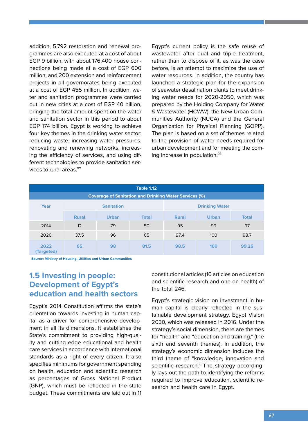addition, 5,792 restoration and renewal programmes are also executed at a cost of about EGP 9 billion, with about 176,400 house connections being made at a cost of EGP 600 million, and 200 extension and reinforcement projects in all governorates being executed at a cost of EGP 455 million. In addition, water and sanitation programmes were carried out in new cities at a cost of EGP 40 billion, bringing the total amount spent on the water and sanitation sector in this period to about EGP 174 billion. Egypt is working to achieve four key themes in the drinking water sector: reducing waste, increasing water pressures, renovating and renewing networks, increasing the efficiency of services, and using different technologies to provide sanitation services to rural areas.<sup>92</sup>

Egypt's current policy is the safe reuse of wastewater after dual and triple treatment, rather than to dispose of it, as was the case before, is an attempt to maximize the use of water resources. In addition, the country has launched a strategic plan for the expansion of seawater desalination plants to meet drinking water needs for 2020-2050, which was prepared by the Holding Company for Water & Wastewater (HCWW), the New Urban Communities Authority (NUCA) and the General Organization for Physical Planning (GOPP). The plan is based on a set of themes related to the provision of water needs required for urban development and for meeting the coming increase in population.<sup>93</sup>

| <b>Table 1.12</b>  |                                                               |                   |              |              |                       |              |  |
|--------------------|---------------------------------------------------------------|-------------------|--------------|--------------|-----------------------|--------------|--|
|                    | <b>Coverage of Sanitation and Drinking Water Services (%)</b> |                   |              |              |                       |              |  |
| Year               |                                                               | <b>Sanitation</b> |              |              | <b>Drinking Water</b> |              |  |
|                    | <b>Rural</b>                                                  | <b>Urban</b>      | <b>Total</b> | <b>Rural</b> | <b>Urban</b>          | <b>Total</b> |  |
| 2014               | 12                                                            | 79                | 50           | 95           | 99                    | 97           |  |
| 2020               | 37.5                                                          | 96                | 65           | 97.4         | 100                   | 98.7         |  |
| 2022<br>(Targeted) | 65                                                            | 98                | 81.5         | 98.5         | 100                   | 99.25        |  |

**Source: Ministry of Housing, Utilities and Urban Communities**

# **1.5 Investing in people: Development of Egypt's education and health sectors**

Egypt's 2014 Constitution affirms the state's orientation towards investing in human capital as a driver for comprehensive development in all its dimensions. It establishes the State's commitment to providing high-quality and cutting edge educational and health care services in accordance with international standards as a right of every citizen. It also specifies minimums for government spending on health, education and scientific research as percentages of Gross National Product (GNP), which must be reflected in the state budget. These commitments are laid out in 11 constitutional articles (10 articles on education and scientific research and one on health) of the total 246.

Egypt's strategic vision on investment in human capital is clearly reflected in the sustainable development strategy, Egypt Vision 2030, which was released in 2016. Under the strategy's social dimension, there are themes for "health" and "education and training," (the sixth and seventh themes). In addition, the strategy's economic dimension includes the third theme of "knowledge, innovation and scientific research." The strategy accordingly lays out the path to identifying the reforms required to improve education, scientific research and health care in Egypt.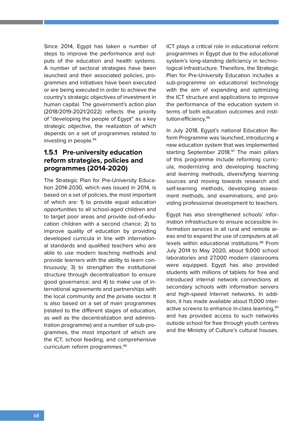Since 2014, Egypt has taken a number of steps to improve the performance and outputs of the education and health systems. A number of sectoral strategies have been launched and their associated policies, programmes and initiatives have been executed or are being executed in order to achieve the country's strategic objectives of investment in human capital. The government's action plan (2018/2019-2021/2022) reflects the priority of "developing the people of Egypt" as a key strategic objective, the realization of which depends on a set of programmes related to investing in people.<sup>94</sup>

## **1.5.1 Pre-university education reform strategies, policies and programmes (2014-2020)**

The Strategic Plan for Pre-University Education 2014-2030, which was issued in 2014, is based on a set of policies, the most important of which are: 1) to provide equal education opportunities to all school-aged children and to target poor areas and provide out-of-education children with a second chance; 2) to improve quality of education by providing developed curricula in line with international standards and qualified teachers who are able to use modern teaching methods and provide learners with the ability to learn continuously; 3) to strengthen the institutional structure through decentralization to ensure good governance; and 4) to make use of international agreements and partnerships with the local community and the private sector. It is also based on a set of main programmes (related to the different stages of education, as well as the decentralization and administration programme) and a number of sub-programmes, the most important of which are the ICT, school feeding, and comprehensive curriculum reform programmes.<sup>95</sup>

ICT plays a critical role in educational reform programmes in Egypt due to the educational system's long-standing deficiency in technological infrastructure. Therefore, the Strategic Plan for Pre-University Education includes a sub-programme on educational technology with the aim of expanding and optimizing the ICT structure and applications to improve the performance of the education system in terms of both education outcomes and institution efficiency.<sup>96</sup>

In July 2018, Egypt's national Education Reform Programme was launched, introducing a new education system that was implemented starting September 2018.<sup>97</sup> The main pillars of this programme include reforming curricula, modernizing and developing teaching and learning methods, diversifying learning sources and moving towards research and self-learning methods, developing assessment methods, and examinations, and providing professional development to teachers.

Egypt has also strengthened schools' information infrastructure to ensure accessible information services in all rural and remote areas and to expand the use of computers at all levels within educational institutions.<sup>98</sup> From July 2014 to May 2020, about 9,000 school laboratories and 27,000 modern classrooms were equipped. Egypt has also provided students with millions of tablets for free and introduced internal network connections at secondary schools with information servers and high-speed Internet networks. In addition, it has made available about 11,000 interactive screens to enhance in-class learning.<sup>99</sup> and has provided access to such networks outside school for free through youth centres and the Ministry of Culture's cultural houses.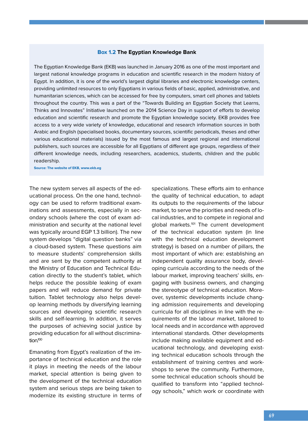#### **Box 1.2 The Egyptian Knowledge Bank**

The Egyptian Knowledge Bank (EKB) was launched in January 2016 as one of the most important and largest national knowledge programs in education and scientific research in the modern history of Egypt. In addition, it is one of the world's largest digital libraries and electronic knowledge centers, providing unlimited resources to only Egyptians in various fields of basic, applied, administrative, and humanitarian sciences, which can be accessed for free by computers, smart cell phones and tablets throughout the country. This was a part of the "Towards Building an Egyptian Society that Learns, Thinks and Innovates" Initiative launched on the 2014 Science Day in support of efforts to develop education and scientific research and promote the Egyptian knowledge society. EKB provides free access to a very wide variety of knowledge, educational and research information sources in both Arabic and English (specialised books, documentary sources, scientific periodicals, theses and other various educational materials) issued by the most famous and largest regional and international publishers, such sources are accessible for all Egyptians of different age groups, regardless of their different knowledge needs, including researchers, academics, students, children and the public readership.

**Source: The website of EKB, www.ekb.eg**

The new system serves all aspects of the educational process. On the one hand, technology can be used to reform traditional examinations and assessments, especially in secondary schools (where the cost of exam administration and security at the national level was typically around EGP 1.3 billion). The new system develops "digital question banks" via a cloud-based system. These questions aim to measure students' comprehension skills and are sent by the competent authority at the Ministry of Education and Technical Education directly to the student's tablet, which helps reduce the possible leaking of exam papers and will reduce demand for private tuition. Tablet technology also helps develop learning methods by diversifying learning sources and developing scientific research skills and self-learning. In addition, it serves the purposes of achieving social justice by providing education for all without discrimination.<sup>100</sup>

Emanating from Egypt's realization of the importance of technical education and the role it plays in meeting the needs of the labour market, special attention is being given to the development of the technical education system and serious steps are being taken to modernize its existing structure in terms of

specializations. These efforts aim to enhance the quality of technical education, to adapt its outputs to the requirements of the labour market, to serve the priorities and needs of local industries, and to compete in regional and global markets.<sup>101</sup> The current development of the technical education system (in line with the technical education development strategy) is based on a number of pillars, the most important of which are: establishing an independent quality assurance body, developing curricula according to the needs of the labour market, improving teachers' skills, engaging with business owners, and changing the stereotype of technical education. Moreover, systemic developments include changing admission requirements and developing curricula for all disciplines in line with the requirements of the labour market, tailored to local needs and in accordance with approved international standards. Other developments include making available equipment and educational technology, and developing existing technical education schools through the establishment of training centres and workshops to serve the community. Furthermore, some technical education schools should be qualified to transform into "applied technology schools," which work or coordinate with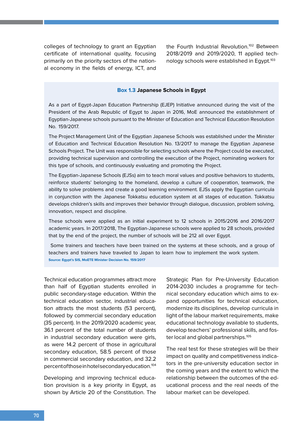colleges of technology to grant an Egyptian certificate of international quality, focusing primarily on the priority sectors of the national economy in the fields of energy, ICT, and the Fourth Industrial Revolution.<sup>102</sup> Between 2018/2019 and 2019/2020, 11 applied technology schools were established in Egypt.<sup>103</sup>

#### **Box 1.3 Japanese Schools in Egypt**

As a part of Egypt-Japan Education Partnership (EJEP) Initiative announced during the visit of the President of the Arab Republic of Egypt to Japan in 2016, MoE announced the establishment of Egyptian-Japanese schools pursuant to the Minister of Education and Technical Education Resolution No. 159/2017.

The Project Management Unit of the Egyptian Japanese Schools was established under the Minister of Education and Technical Education Resolution No. 13/2017 to manage the Egyptian Japanese Schools Project. The Unit was responsible for selecting schools where the Project could be executed, providing technical supervision and controlling the execution of the Project, nominating workers for this type of schools, and continuously evaluating and promoting the Project.

The Egyptian-Japanese Schools (EJSs) aim to teach moral values and positive behaviors to students, reinforce students' belonging to the homeland, develop a culture of cooperation, teamwork, the ability to solve problems and create a good learning environment. EJSs apply the Egyptian curricula in conjunction with the Japanese Tokkatsu education system at all stages of education. Tokkatsu develops children's skills and improves their behavior through dialogue, discussion, problem solving, innovation, respect and discipline.

These schools were applied as an initial experiment to 12 schools in 2015/2016 and 2016/2017 academic years. In 2017/2018, The Egyptian-Japanese schools were applied to 28 schools, provided that by the end of the project, the number of schools will be 212 all over Egypt.

 Some trainers and teachers have been trained on the systems at these schools, and a group of teachers and trainers have traveled to Japan to learn how to implement the work system. **Source: Egypt's SIS, MoETE Minister Decision No. 159/2017**

Technical education programmes attract more than half of Egyptian students enrolled in public secondary-stage education. Within the technical education sector, industrial education attracts the most students (53 percent), followed by commercial secondary education (35 percent). In the 2019/2020 academic year, 36.1 percent of the total number of students in industrial secondary education were girls, as were 14.2 percent of those in agricultural secondary education, 58.5 percent of those in commercial secondary education, and 32.2 percent of those in hotel secondary education.<sup>104</sup>

Developing and improving technical education provision is a key priority in Egypt, as shown by Article 20 of the Constitution. The Strategic Plan for Pre-University Education 2014-2030 includes a programme for technical secondary education which aims to expand opportunities for technical education, modernize its disciplines, develop curricula in light of the labour market requirements, make educational technology available to students, develop teachers' professional skills, and foster local and global partnerships.<sup>105</sup>

The real test for these strategies will be their impact on quality and competitiveness indicators in the pre-university education sector in the coming years and the extent to which the relationship between the outcomes of the educational process and the real needs of the labour market can be developed.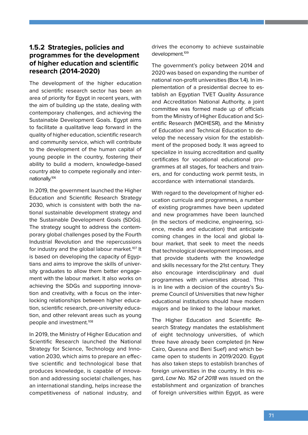## **1.5.2 Strategies, policies and programmes for the development of higher education and scientific research (2014-2020)**

The development of the higher education and scientific research sector has been an area of priority for Egypt in recent years, with the aim of building up the state, dealing with contemporary challenges, and achieving the Sustainable Development Goals. Egypt aims to facilitate a qualitative leap forward in the quality of higher education, scientific research and community service, which will contribute to the development of the human capital of young people in the country, fostering their ability to build a modern, knowledge-based country able to compete regionally and internationally.106

In 2019, the government launched the Higher Education and Scientific Research Strategy 2030, which is consistent with both the national sustainable development strategy and the Sustainable Development Goals (SDGs). The strategy sought to address the contemporary global challenges posed by the Fourth Industrial Revolution and the repercussions for industry and the global labour market.<sup>107</sup> It is based on developing the capacity of Egyptians and aims to improve the skills of university graduates to allow them better engagement with the labour market. It also works on achieving the SDGs and supporting innovation and creativity, with a focus on the interlocking relationships between higher education, scientific research, pre-university education, and other relevant areas such as young people and investment.108

In 2019, the Ministry of Higher Education and Scientific Research launched the National Strategy for Science, Technology and Innovation 2030, which aims to prepare an effective scientific and technological base that produces knowledge, is capable of innovation and addressing societal challenges, has an international standing, helps increase the competitiveness of national industry, and

drives the economy to achieve sustainable development.109

The government's policy between 2014 and 2020 was based on expanding the number of national non-profit universities (Box 1.4). In implementation of a presidential decree to establish an Egyptian TVET Quality Assurance and Accreditation National Authority, a joint committee was formed made up of officials from the Ministry of Higher Education and Scientific Research (MOHESR), and the Ministry of Education and Technical Education to develop the necessary vision for the establishment of the proposed body. It was agreed to specialize in issuing accreditation and quality certificates for vocational educational programmes at all stages, for teachers and trainers, and for conducting work permit tests, in accordance with international standards.

With regard to the development of higher education curricula and programmes, a number of existing programmes have been updated and new programmes have been launched (in the sectors of medicine, engineering, science, media and education) that anticipate coming changes in the local and global labour market, that seek to meet the needs that technological development imposes, and that provide students with the knowledge and skills necessary for the 21st century. They also encourage interdisciplinary and dual programmes with universities abroad. This is in line with a decision of the country's Supreme Council of Universities that new higher educational institutions should have modern majors and be linked to the labour market.

The Higher Education and Scientific Research Strategy mandates the establishment of eight technology universities, of which three have already been completed (in New Cairo, Quesna and Beni Suef) and which became open to students in 2019/2020. Egypt has also taken steps to establish branches of foreign universities in the country. In this regard, Law No. 162 of 2018 was issued on the establishment and organization of branches of foreign universities within Egypt, as were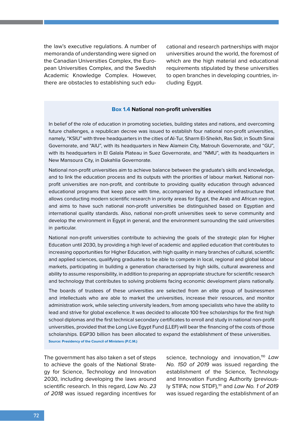the law's executive regulations. A number of memoranda of understanding were signed on the Canadian Universities Complex, the European Universities Complex, and the Swedish Academic Knowledge Complex. However, there are obstacles to establishing such educational and research partnerships with major universities around the world, the foremost of which are the high material and educational requirements stipulated by these universities to open branches in developing countries, including Egypt.

#### **Box 1.4 National non-profit universities**

In belief of the role of education in promoting societies, building states and nations, and overcoming future challenges, a republican decree was issued to establish four national non-profit universities, namely, "KSIU" with three headquarters in the cities of Al-Tur, Sharm El-Sheikh, Ras Sidr, in South Sinai Governorate, and "AIU", with its headquarters in New Alamein City, Matrouh Governorate, and "GU", with its headquarters in El Galala Plateau in Suez Governorate, and "NMU", with its headquarters in New Mansoura City, in Dakahlia Governorate.

National non-profit universities aim to achieve balance between the graduate's skills and knowledge, and to link the education process and its outputs with the priorities of labour market. National nonprofit universities are non-profit, and contribute to providing quality education through advanced educational programs that keep pace with time, accompanied by a developed infrastructure that allows conducting modern scientific research in priority areas for Egypt, the Arab and African region, and aims to have such national non-profit universities be distinguished based on Egyptian and international quality standards. Also, national non-profit universities seek to serve community and develop the environment in Egypt in general, and the environment surrounding the said universities in particular.

National non-profit universities contribute to achieving the goals of the strategic plan for Higher Education until 2030, by providing a high level of academic and applied education that contributes to increasing opportunities for Higher Education, with high quality in many branches of cultural, scientific and applied sciences, qualifying graduates to be able to compete in local, regional and global labour markets, participating in building a generation characterised by high skills, cultural awareness and ability to assume responsibility, in addition to preparing an appropriate structure for scientific research and technology that contributes to solving problems facing economic development plans nationally.

The boards of trustees of these universities are selected from an elite group of businessmen and intellectuals who are able to market the universities, increase their resources, and monitor administration work, while selecting university leaders, from among specialists who have the ability to lead and strive for global excellence. It was decided to allocate 100 free scholarships for the first high school diplomas and the first technical secondary certificates to enroll and study in national non-profit universities, provided that the Long Live Egypt Fund (LLEF) will bear the financing of the costs of those scholarships. EGP30 billion has been allocated to expand the establishment of these universities. **Source: Presidency of the Council of Ministers (P.C.M.)**

The government has also taken a set of steps to achieve the goals of the National Strategy for Science, Technology and Innovation 2030, including developing the laws around scientific research. In this regard, Law No. 23 of 2018 was issued regarding incentives for science, technology and innovation, $110$  Law No. 150 of 2019 was issued regarding the establishment of the Science, Technology and Innovation Funding Authority (previously STIFA; now STDF),<sup>111</sup> and Law No. 1 of 2019 was issued regarding the establishment of an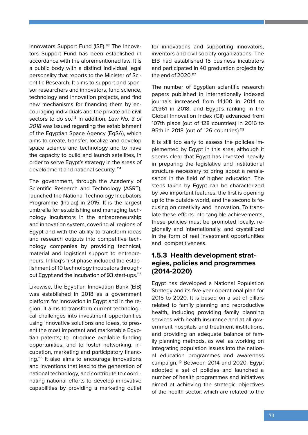Innovators Support Fund (ISF).<sup>112</sup> The Innovators Support Fund has been established in accordance with the aforementioned law. It is a public body with a distinct individual legal personality that reports to the Minister of Scientific Research. It aims to support and sponsor researchers and innovators, fund science, technology and innovation projects, and find new mechanisms for financing them by encouraging individuals and the private and civil sectors to do so.<sup>113</sup> In addition, Law No. 3 of 2018 was issued regarding the establishment of the Egyptian Space Agency (EgSA), which aims to create, transfer, localize and develop space science and technology and to have the capacity to build and launch satellites, in order to serve Egypt's strategy in the areas of development and national security.<sup>114</sup>

The government, through the Academy of Scientific Research and Technology (ASRT), launched the National Technology Incubators Programme (Intilaq) in 2015. It is the largest umbrella for establishing and managing technology incubators in the entrepreneurship and innovation system, covering all regions of Egypt and with the ability to transform ideas and research outputs into competitive technology companies by providing technical, material and logistical support to entrepreneurs. Intilaq's first phase included the establishment of 19 technology incubators throughout Egypt and the incubation of 93 start-ups.<sup>115</sup>

Likewise, the Egyptian Innovation Bank (EIB) was established in 2018 as a government platform for innovation in Egypt and in the region. It aims to transform current technological challenges into investment opportunities using innovative solutions and ideas, to present the most important and marketable Egyptian patents; to introduce available funding opportunities; and to foster networking, incubation, marketing and participatory financing.116 It also aims to encourage innovations and inventions that lead to the generation of national technology, and contribute to coordinating national efforts to develop innovative capabilities by providing a marketing outlet

for innovations and supporting innovators, inventors and civil society organizations. The EIB had established 15 business incubators and participated in 40 graduation projects by the end of 2020.117

The number of Egyptian scientific research papers published in internationally indexed journals increased from 14,100 in 2014 to 21,961 in 2018, and Egypt's ranking in the Global Innovation Index (GII) advanced from 107th place (out of 128 countries) in 2016 to 95th in 2018 (out of 126 countries).<sup>118</sup>

It is still too early to assess the policies implemented by Egypt in this area, although it seems clear that Egypt has invested heavily in preparing the legislative and institutional structure necessary to bring about a renaissance in the field of higher education. The steps taken by Egypt can be characterized by two important features: the first is opening up to the outside world, and the second is focusing on creativity and innovation. To translate these efforts into tangible achievements, these policies must be promoted locally, regionally and internationally, and crystallized in the form of real investment opportunities and competitiveness.

## **1.5.3 Health development strategies, policies and programmes (2014-2020)**

Egypt has developed a National Population Strategy and its five-year operational plan for 2015 to 2020. It is based on a set of pillars related to family planning and reproductive health, including providing family planning services with health insurance and at all government hospitals and treatment institutions, and providing an adequate balance of family planning methods, as well as working on integrating population issues into the national education programmes and awareness campaign.119 Between 2014 and 2020, Egypt adopted a set of policies and launched a number of health programmes and initiatives aimed at achieving the strategic objectives of the health sector, which are related to the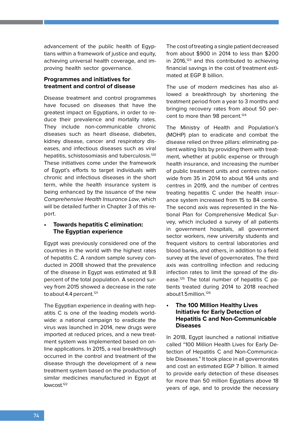advancement of the public health of Egyptians within a framework of justice and equity, achieving universal health coverage, and improving health sector governance.

## **Programmes and initiatives for treatment and control of disease**

Disease treatment and control programmes have focused on diseases that have the greatest impact on Egyptians, in order to reduce their prevalence and mortality rates. They include non-communicable chronic diseases such as heart disease, diabetes, kidney disease, cancer and respiratory diseases, and infectious diseases such as viral hepatitis, schistosomiasis and tuberculosis.<sup>120</sup> These initiatives come under the framework of Egypt's efforts to target individuals with chronic and infectious diseases in the short term, while the health insurance system is being enhanced by the issuance of the new Comprehensive Health Insurance Law, which will be detailed further in Chapter 3 of this report.

#### **• Towards hepatitis C elimination: The Egyptian experience**

Egypt was previously considered one of the countries in the world with the highest rates of hepatitis C. A random sample survey conducted in 2008 showed that the prevalence of the disease in Egypt was estimated at 9.8 percent of the total population. A second survey from 2015 showed a decrease in the rate to about 4.4 percent.<sup>121</sup>

The Egyptian experience in dealing with hepatitis C is one of the leading models worldwide: a national campaign to eradicate the virus was launched in 2014, new drugs were imported at reduced prices, and a new treatment system was implemented based on online applications. In 2015, a real breakthrough occurred in the control and treatment of the disease through the development of a new treatment system based on the production of similar medicines manufactured in Egypt at lowcost<sup>122</sup>

The cost of treating a single patient decreased from about \$900 in 2014 to less than \$200 in 2016.<sup>123</sup> and this contributed to achieving financial savings in the cost of treatment estimated at EGP 8 billion.

The use of modern medicines has also allowed a breakthrough by shortening the treatment period from a year to 3 months and bringing recovery rates from about 50 percent to more than 98 percent.<sup>124</sup>

The Ministry of Health and Population's (MOHP) plan to eradicate and combat the disease relied on three pillars: eliminating patient waiting lists by providing them with treatment, whether at public expense or through health insurance, and increasing the number of public treatment units and centres nationwide from 35 in 2014 to about 164 units and centres in 2019, and the number of centres treating hepatitis C under the health insurance system increased from 15 to 84 centre. The second axis was represented in the National Plan for Comprehensive Medical Survey, which included a survey of all patients in government hospitals, all government sector workers, new university students and frequent visitors to central laboratories and blood banks, and others, in addition to a field survey at the level of governorates. The third axis was controlling infection and reducing infection rates to limit the spread of the disease.125 The total number of hepatitis C patients treated during 2014 to 2018 reached about 1.5 million.126

#### **• The 100 Million Healthy Lives Initiative for Early Detection of Hepatitis C and Non-Communicable Diseases**

In 2018, Egypt launched a national initiative called "100 Million Health Lives for Early Detection of Hepatitis C and Non-Communicable Diseases." It took place in all governorates and cost an estimated EGP 7 billion. It aimed to provide early detection of these diseases for more than 50 million Egyptians above 18 years of age, and to provide the necessary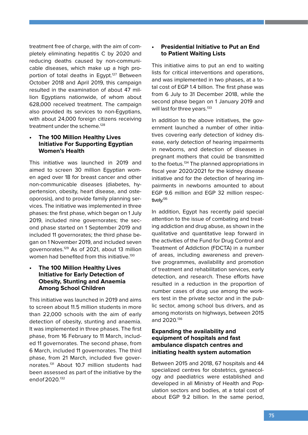treatment free of charge, with the aim of completely eliminating hepatitis C by 2020 and reducing deaths caused by non-communicable diseases, which make up a high proportion of total deaths in Egypt.<sup>127</sup> Between October 2018 and April 2019, this campaign resulted in the examination of about 47 million Egyptians nationwide, of whom about 628,000 received treatment. The campaign also provided its services to non-Egyptians, with about 24,000 foreign citizens receiving treatment under the scheme.<sup>128</sup>

#### **• The 100 Million Healthy Lives Initiative For Supporting Egyptian Women's Health**

This initiative was launched in 2019 and aimed to screen 30 million Egyptian women aged over 18 for breast cancer and other non-communicable diseases (diabetes, hypertension, obesity, heart disease, and osteoporosis), and to provide family planning services. The initiative was implemented in three phases: the first phase, which began on 1 July 2019, included nine governorates; the second phase started on 1 September 2019 and included 11 governorates; the third phase began on 1 November 2019, and included seven governorates.129 As of 2021, about 13 million women had benefited from this initiative.<sup>130</sup>

#### **• The 100 Million Healthy Lives Initiative for Early Detection of Obesity, Stunting and Anaemia Among School Children**

This initiative was launched in 2019 and aims to screen about 11.5 million students in more than 22,000 schools with the aim of early detection of obesity, stunting and anaemia. It was implemented in three phases. The first phase, from 16 February to 11 March, included 11 governorates. The second phase, from 6 March, included 11 governorates. The third phase, from 21 March, included five governorates.131 About 10.7 million students had been assessed as part of the initiative by the end of 2020.132

## **• Presidential Initiative to Put an End to Patient Waiting Lists**

This initiative aims to put an end to waiting lists for critical interventions and operations, and was implemented in two phases, at a total cost of EGP 1.4 billion. The first phase was from 6 July to 31 December 2018, while the second phase began on 1 January 2019 and will last for three years.<sup>133</sup>

In addition to the above initiatives, the government launched a number of other initiatives covering early detection of kidney disease, early detection of hearing impairments in newborns, and detection of diseases in pregnant mothers that could be transmitted to the foetus.<sup>134</sup> The planned appropriations in fiscal year 2020/2021 for the kidney disease initiative and for the detection of hearing impairments in newborns amounted to about EGP 9.6 million and EGP 32 million respectively.<sup>135</sup>

In addition, Egypt has recently paid special attention to the issue of combating and treating addiction and drug abuse, as shown in the qualitative and quantitative leap forward in the activities of the Fund for Drug Control and Treatment of Addiction (FDCTA) in a number of areas, including awareness and preventive programmes, availability and promotion of treatment and rehabilitation services, early detection, and research. These efforts have resulted in a reduction in the proportion of number cases of drug use among the workers test in the private sector and in the public sector, among school bus drivers, and as among motorists on highways, between 2015 and 2020.136

#### **Expanding the availability and equipment of hospitals and fast ambulance dispatch centres and initiating health system automation**

Between 2015 and 2018, 67 hospitals and 44 specialized centres for obstetrics, gynaecology and paediatrics were established and developed in all Ministry of Health and Population sectors and bodies, at a total cost of about EGP 9.2 billion. In the same period,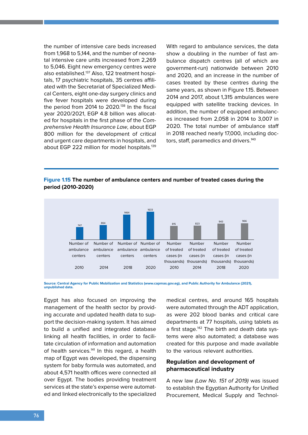the number of intensive care beds increased from 1,968 to 5,144, and the number of neonatal intensive care units increased from 2,269 to 5,046. Eight new emergency centres were also established.<sup>137</sup> Also, 122 treatment hospitals, 17 psychiatric hospitals, 35 centres affiliated with the Secretariat of Specialized Medical Centers, eight one-day surgery clinics and five fever hospitals were developed during the period from 2014 to 2020.<sup>138</sup> In the fiscal year 2020/2021, EGP 4.8 billion was allocated for hospitals in the first phase of the Comprehensive Health Insurance Law, about EGP 800 million for the development of critical and urgent care departments in hospitals, and about EGP 222 million for model hospitals.<sup>139</sup>

With regard to ambulance services, the data show a doubling in the number of fast ambulance dispatch centres (all of which are government-run) nationwide between 2010 and 2020, and an increase in the number of cases treated by these centres during the same years, as shown in Figure 1.15. Between 2014 and 2017, about 1,315 ambulances were equipped with satellite tracking devices. In addition, the number of equipped ambulances increased from 2,058 in 2014 to 3,007 in 2020. The total number of ambulance staff in 2018 reached nearly 17,000, including doctors, staff, paramedics and drivers.<sup>140</sup>

#### **Figure 1.15 The number of ambulance centers and number of treated cases during the period (2010-2020)**



**Source: Central Agency for Public Mobilization and Statistics (www.capmas.gov.eg), and Public Authority for Ambulance (2021), unpublished data.**

Egypt has also focused on improving the management of the health sector by providing accurate and updated health data to support the decision-making system. It has aimed to build a unified and integrated database linking all health facilities, in order to facilitate circulation of information and automation of health services.<sup>141</sup> In this regard, a health map of Egypt was developed, the dispensing system for baby formula was automated, and about 4,571 health offices were connected all over Egypt. The bodies providing treatment services at the state's expense were automated and linked electronically to the specialized medical centres, and around 165 hospitals were automated through the ADT application, as were 202 blood banks and critical care departments at 77 hospitals, using tablets as a first stage.<sup>142</sup> The birth and death data systems were also automated; a database was created for this purpose and made available to the various relevant authorities.

#### **Regulation and development of pharmaceutical industry**

A new law (Law No. 151 of 2019) was issued to establish the Egyptian Authority for Unified Procurement, Medical Supply and Technol-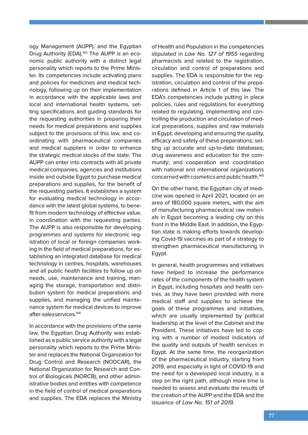ogy Management (AUPP), and the Egyptian Drug Authority (EDA).<sup>143</sup> The AUPP is an economic public authority with a distinct legal personality which reports to the Prime Minister. Its competencies include activating plans and policies for medicines and medical technology, following up on their implementation in accordance with the applicable laws and local and international health systems, setting specifications and guiding standards for the requesting authorities in preparing their needs for medical preparations and supplies subject to the provisions of this law, and coordinating with pharmaceutical companies and medical suppliers in order to enhance the strategic medical stocks of the state. The AUPP can enter into contracts with all private medical companies, agencies and institutions inside and outside Egypt to purchase medical preparations and supplies, for the benefit of the requesting parties. It establishes a system for evaluating medical technology in accordance with the latest global systems, to benefit from modern technology of effective value, in coordination with the requesting parties. The AUPP is also responsible for developing programmes and systems for electronic registration of local or foreign companies working in the field of medical preparations, for establishing an integrated database for medical technology in centres, hospitals, warehouses and all public health facilities to follow up on needs, use, maintenance and training, managing the storage, transportation and distribution system for medical preparations and supplies, and managing the unified maintenance system for medical devices to improve after-sales services.<sup>144</sup>

In accordance with the provisions of the same law, the Egyptian Drug Authority was established as a public service authority with a legal personality which reports to the Prime Minister and replaces the National Organization for Drug Control and Research (NODCAR), the National Organization for Research and Control of Biologicals (NORCB), and other administrative bodies and entities with competence in the field of control of medical preparations and supplies. The EDA replaces the Ministry

of Health and Population in the competencies stipulated in Law No. 127 of 1955 regarding pharmacists and related to the registration, circulation and control of preparations and supplies. The EDA is responsible for the registration, circulation and control of the preparations defined in Article 1 of this law. The EDA's competencies include putting in place policies, rules and regulations for everything related to regulating, implementing and controlling the production and circulation of medical preparations, supplies and raw materials in Egypt; developing and ensuring the quality, efficacy and safety of these preparations; setting up accurate and up-to-date databases; drug awareness and education for the community; and cooperation and coordination with national and international organizations concerned with cosmetics and public health.145

On the other hand, the Egyptian city of medicine was opened in April 2021, located on an area of 180,000 square meters, with the aim of manufacturing pharmaceutical raw materials in Egypt becoming a leading city on this front in the Middle East. In addition, the Egyptian state is making efforts towards developing Covid-19 vaccines as part of a strategy to strengthen pharmaceutical manufacturing in Egypt.

In general, health programmes and initiatives have helped to increase the performance rates of the components of the health system in Egypt, including hospitals and health centres, as they have been provided with more medical staff and supplies to achieve the goals of these programmes and initiatives, which are usually implemented by political leadership at the level of the Cabinet and the President. These initiatives have led to coping with a number of modest indicators of the quality and outputs of health services in Egypt. At the same time, the reorganization of the pharmaceutical industry, starting from 2019, and especially in light of COVID-19 and the need for a developed local industry, is a step on the right path, although more time is needed to assess and evaluate the results of the creation of the AUPP and the EDA and the issuance of Law No. 151 of 2019.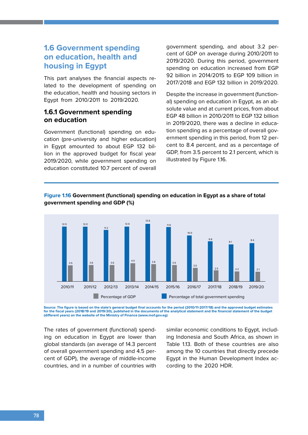# **1.6 Government spending on education, health and housing in Egypt**

This part analyses the financial aspects related to the development of spending on the education, health and housing sectors in Egypt from 2010/2011 to 2019/2020.

## **1.6.1 Government spending on education**

Government (functional) spending on education (pre-university and higher education) in Egypt amounted to about EGP 132 billion in the approved budget for fiscal year 2019/2020, while government spending on education constituted 10.7 percent of overall government spending, and about 3.2 percent of GDP on average during 2010/2011 to 2019/2020. During this period, government spending on education increased from EGP 92 billion in 2014/2015 to EGP 109 billion in 2017/2018 and EGP 132 billion in 2019/2020.

Despite the increase in government (functional) spending on education in Egypt, as an absolute value and at current prices, from about EGP 48 billion in 2010/2011 to EGP 132 billion in 2019/2020, there was a decline in education spending as a percentage of overall government spending in this period, from 12 percent to 8.4 percent, and as a percentage of GDP, from 3.5 percent to 2.1 percent, which is illustrated by Figure 1.16.



#### **Figure 1.16 Government (functional) spending on education in Egypt as a share of total government spending and GDP (%)**

**Source: The figure is based on the state's general budget final accounts for the period (2010/11-2017/18) and the approved budget estimates for the fiscal years (2018/19 and 2019/20), published in the documents of the analytical statement and the financial statement of the budget (different years) on the website of the Ministry of Finance (www.mof.gov.eg)**

The rates of government (functional) spending on education in Egypt are lower than global standards (an average of 14.3 percent of overall government spending and 4.5 percent of GDP), the average of middle-income countries, and in a number of countries with similar economic conditions to Egypt, including Indonesia and South Africa, as shown in Table 1.13. Both of these countries are also among the 10 countries that directly precede Egypt in the Human Development Index according to the 2020 HDR.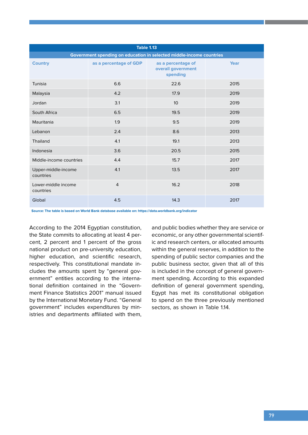| <b>Table 1.13</b>                                                    |                        |                                                      |      |  |  |  |
|----------------------------------------------------------------------|------------------------|------------------------------------------------------|------|--|--|--|
| Government spending on education in selected middle-income countries |                        |                                                      |      |  |  |  |
| <b>Country</b>                                                       | as a percentage of GDP | as a percentage of<br>overall government<br>spending | Year |  |  |  |
| Tunisia                                                              | 6.6                    | 22.6                                                 | 2015 |  |  |  |
| Malaysia                                                             | 4.2                    | 17.9                                                 | 2019 |  |  |  |
| Jordan                                                               | 3.1                    | 10 <sup>10</sup>                                     | 2019 |  |  |  |
| South Africa                                                         | 6.5                    | 19.5                                                 | 2019 |  |  |  |
| Mauritania                                                           | 1.9                    | 9.5                                                  | 2019 |  |  |  |
| Lebanon                                                              | 2.4                    | 8.6                                                  | 2013 |  |  |  |
| Thailand                                                             | 4.1                    | 19.1                                                 | 2013 |  |  |  |
| Indonesia                                                            | 3.6                    | 20.5                                                 | 2015 |  |  |  |
| Middle-income countries                                              | 4.4                    | 15.7                                                 | 2017 |  |  |  |
| Upper-middle-income<br>countries                                     | 4.1                    | 13.5                                                 | 2017 |  |  |  |
| Lower-middle income<br>countries                                     | $\overline{4}$         | 16.2                                                 | 2018 |  |  |  |
| Global                                                               | 4.5                    | 14.3                                                 | 2017 |  |  |  |

**Source: The table is based on World Bank database available on: https://data.worldbank.org/indicator**

According to the 2014 Egyptian constitution, the State commits to allocating at least 4 percent, 2 percent and 1 percent of the gross national product on pre-university education, higher education, and scientific research, respectively. This constitutional mandate includes the amounts spent by "general government" entities according to the international definition contained in the "Government Finance Statistics 2001" manual issued by the International Monetary Fund. "General government" includes expenditures by ministries and departments affiliated with them,

and public bodies whether they are service or economic, or any other governmental scientific and research centers, or allocated amounts within the general reserves, in addition to the spending of public sector companies and the public business sector, given that all of this is included in the concept of general government spending. According to this expanded definition of general government spending, Egypt has met its constitutional obligation to spend on the three previously mentioned sectors, as shown in Table 1.14.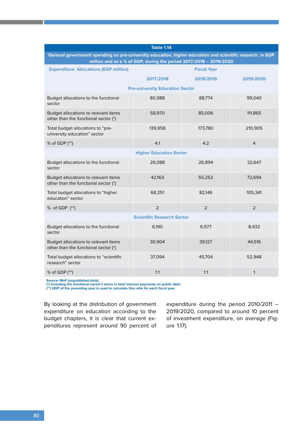| <b>Table 1.14</b>                                                                                                                                                               |                    |                |                |  |  |  |
|---------------------------------------------------------------------------------------------------------------------------------------------------------------------------------|--------------------|----------------|----------------|--|--|--|
| General government spending on pre-university education, higher education and scientific research, in EGP<br>million and as a % of GDP, during the period 2017/2018 - 2019/2020 |                    |                |                |  |  |  |
| <b>Expenditure Allocations (EGP million)</b>                                                                                                                                    | <b>Fiscal Year</b> |                |                |  |  |  |
|                                                                                                                                                                                 | 2017/2018          | 2018/2019      | 2019/2020      |  |  |  |
| <b>Pre-university Education Sector</b>                                                                                                                                          |                    |                |                |  |  |  |
| Budget allocations to the functional<br>sector                                                                                                                                  | 80,988             | 88,774         | 99,040         |  |  |  |
| Budget allocations to relevant items<br>other than the functional sector (*)                                                                                                    | 58,970             | 85,006         | 111,865        |  |  |  |
| Total budget allocations to "pre-<br>university education" sector                                                                                                               | 139,958            | 173,780        | 210,905        |  |  |  |
| % of GDP (**)                                                                                                                                                                   | 4.1                | 4.2            | $\overline{4}$ |  |  |  |
| <b>Higher Education Sector</b>                                                                                                                                                  |                    |                |                |  |  |  |
| Budget allocations to the functional<br>sector                                                                                                                                  | 26,088             | 26,894         | 32,647         |  |  |  |
| Budget allocations to relevant items<br>other than the functional sector (*)                                                                                                    | 42,163             | 55,252         | 72,694         |  |  |  |
| Total budget allocations to "higher<br>education" sector                                                                                                                        | 68,251             | 82,146         | 105,341        |  |  |  |
| % of GDP (**)                                                                                                                                                                   | $\overline{2}$     | $\overline{2}$ | $\overline{2}$ |  |  |  |
| <b>Scientific Research Sector</b>                                                                                                                                               |                    |                |                |  |  |  |
| Budget allocations to the functional<br>sector                                                                                                                                  | 6.190              | 6,577          | 8,432          |  |  |  |
| Budget allocations to relevant items<br>other than the functional sector (*)                                                                                                    | 30,904             | 39,127         | 44,516         |  |  |  |
| Total budget allocations to "scientific<br>research" sector                                                                                                                     | 37,094             | 45,704         | 52,948         |  |  |  |
| % of GDP (**)                                                                                                                                                                   | 1.1                | 1.1            | 1              |  |  |  |

**Source: MoF (unpublished data). (\*) Including the functional sector's share in total interest payments on public debt.**

**(\*\*) GDP of the preceding year is used to calculate this ratio for each fiscal year.**

By looking at the distribution of government expenditure on education according to the budget chapters, it is clear that current expenditures represent around 90 percent of expenditure during the period 2010/2011 – 2019/2020, compared to around 10 percent of investment expenditure, on average (Figure 1.17).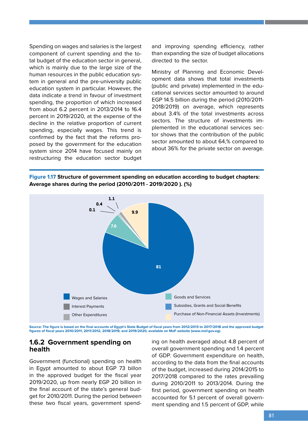Spending on wages and salaries is the largest component of current spending and the total budget of the education sector in general, which is mainly due to the large size of the human resources in the public education system in general and the pre-university public education system in particular. However, the data indicate a trend in favour of investment spending, the proportion of which increased from about 6.2 percent in 2013/2014 to 16.4 percent in 2019/2020, at the expense of the decline in the relative proportion of current spending, especially wages. This trend is confirmed by the fact that the reforms proposed by the government for the education system since 2014 have focused mainly on restructuring the education sector budget

and improving spending efficiency, rather than expanding the size of budget allocations directed to the sector.

Ministry of Planning and Economic Development data shows that total investments (public and private) implemented in the educational services sector amounted to around EGP 14.5 billion during the period (2010/2011- 2018/2019) on average, which represents about 3.4% of the total investments across sectors. The structure of investments implemented in the educational services sector shows that the contribution of the public sector amounted to about 64,% compared to about 36% for the private sector on average.

**Figure 1.17 Structure of government spending on education according to budget chapters: Average shares during the period (2010/2011 - 2019/2020 ). (%)**



**Source: The figure is based on the final accounts of Egypt's State Budget of fiscal years from 2012/2013 to 2017/2018 and the approved budget figures of fiscal years 2010/2011, 2011/2012, 2018/2019, and 2019/2020, available on MoF website (www.mof.gov.eg).**

### **1.6.2 Government spending on health**

Government (functional) spending on health in Egypt amounted to about EGP 73 billon in the approved budget for the fiscal year 2019/2020, up from nearly EGP 20 billion in the final account of the state's general budget for 2010/2011. During the period between these two fiscal years, government spend-

ing on health averaged about 4.8 percent of overall government spending and 1.4 percent of GDP. Government expenditure on health, according to the data from the final accounts of the budget, increased during 2014/2015 to 2017/2018 compared to the rates prevailing during 2010/2011 to 2013/2014. During the first period, government spending on health accounted for 5.1 percent of overall government spending and 1.5 percent of GDP, while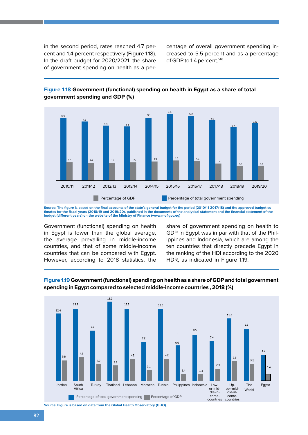in the second period, rates reached 4.7 percent and 1.4 percent respectively (Figure 1.18). In the draft budget for 2020/2021, the share of government spending on health as a percentage of overall government spending increased to 5.5 percent and as a percentage of GDP to 1.4 percent.<sup>146</sup>



**Figure 1.18 Government (functional) spending on health in Egypt as a share of total government spending and GDP (%)**

**Source: The figure is based on the final accounts of the state's general budget for the period (2010/11-2017/18) and the approved budget estimates for the fiscal years (2018/19 and 2019/20), published in the documents of the analytical statement and the financial statement of the budget (different years) on the website of the Ministry of Finance (www.mof.gov.eg)**

Government (functional) spending on health in Egypt is lower than the global average, the average prevailing in middle-income countries, and that of some middle-income countries that can be compared with Egypt. However, according to 2018 statistics, the share of government spending on health to GDP in Egypt was in par with that of the Philippines and Indonesia, which are among the ten countries that directly precede Egypt in the ranking of the HDI according to the 2020 HDR, as indicated in Figure 1.19.



#### **Figure 1.19 Government (functional) spending on health as a share of GDP and total government spending in Egypt compared to selected middle-income countries , 2018 (%)**

**Source: Figure is based on data from the Global Health Observatory (GHO).**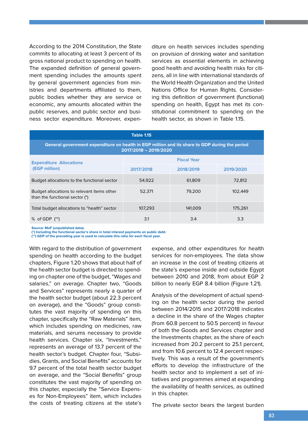According to the 2014 Constitution, the State commits to allocating at least 3 percent of its gross national product to spending on health. The expanded definition of general government spending includes the amounts spent by general government agencies from ministries and departments affiliated to them, public bodies whether they are service or economic, any amounts allocated within the public reserves, and public sector and business sector expenditure. Moreover, expenditure on health services includes spending on provision of drinking water and sanitation services as essential elements in achieving good health and avoiding health risks for citizens, all in line with international standards of the World Health Organization and the United Nations Office for Human Rights. Considering this definition of government (functional) spending on health, Egypt has met its constitutional commitment to spending on the health sector, as shown in Table 1.15.

| <b>Table 1.15</b>                                                                                                       |                    |           |           |  |  |
|-------------------------------------------------------------------------------------------------------------------------|--------------------|-----------|-----------|--|--|
| General government expenditure on health in EGP million and its share to GDP during the period<br>2017/2018 - 2019/2020 |                    |           |           |  |  |
| <b>Expenditure Allocations</b>                                                                                          | <b>Fiscal Year</b> |           |           |  |  |
| (EGP million)                                                                                                           | 2017/2018          | 2018/2019 | 2019/2020 |  |  |
| Budget allocations to the functional sector                                                                             | 54,922             | 61.809    | 72,812    |  |  |
| Budget allocations to relevant items other<br>than the functional sector (*)                                            | 52.371             | 79.200    | 102.449   |  |  |
| Total budget allocations to "health" sector                                                                             | 107.293            | 141.009   | 175,261   |  |  |
| $%$ of GDP $(*)$                                                                                                        | 3.1                | 3.4       | 3.3       |  |  |

**Source: MoF (unpublished data).**

**(\*) Including the functional sector's share in total interest payments on public debt.**

**(\*\*) GDP of the preceding year is used to calculate this ratio for each fiscal year.**

With regard to the distribution of government spending on health according to the budget chapters, Figure 1.20 shows that about half of the health sector budget is directed to spending on chapter one of the budget, "Wages and salaries," on average. Chapter two, "Goods and Services" represents nearly a quarter of the health sector budget (about 22.3 percent on average), and the "Goods" group constitutes the vast majority of spending on this chapter, specifically the "Raw Materials" item, which includes spending on medicines, raw materials, and serums necessary to provide health services. Chapter six, "Investments," represents an average of 13.7 percent of the health sector's budget. Chapter four, "Subsidies, Grants, and Social Benefits" accounts for 9.7 percent of the total health sector budget on average, and the "Social Benefits" group constitutes the vast majority of spending on this chapter, especially the "Service Expenses for Non-Employees" item, which includes the costs of treating citizens at the state's

expense, and other expenditures for health services for non-employees. The data show an increase in the cost of treating citizens at the state's expense inside and outside Egypt between 2010 and 2018, from about EGP 2 billion to nearly EGP 8.4 billion (Figure 1.21).

Analysis of the development of actual spending on the health sector during the period between 2014/2015 and 2017/2018 indicates a decline in the share of the Wages chapter (from 60.8 percent to 50.5 percent) in favour of both the Goods and Services chapter and the Investments chapter, as the share of each increased from 20.2 percent to 25.1 percent, and from 10.6 percent to 12.4 percent respectively. This was a result of the government's efforts to develop the infrastructure of the health sector and to implement a set of initiatives and programmes aimed at expanding the availability of health services, as outlined in this chapter.

The private sector bears the largest burden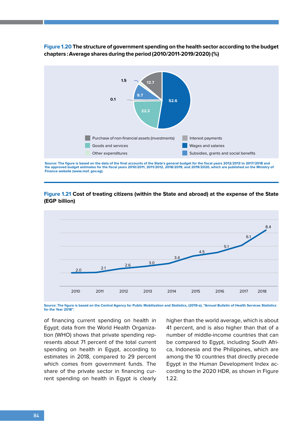#### **Figure 1.20 The structure of government spending on the health sector according to the budget chapters : Average shares during the period (2010/2011-2019/2020) (%)**



Source: The figure is based on the data of the final accounts of the State's general budget for the fiscal years 2012/2013 to 2017/2018 and<br>the approved budget estimates for the fiscal years 2010/2011, 2011/2012, 2018/2019 **Finance website (www.mof. gov.eg).**





**Source: The figure is based on the Central Agency for Public Mobilization and Statistics, (2019-a), "Annual Bulletin of Health Services Statistics for the Year 2018".**

of financing current spending on health in Egypt; data from the World Health Organization (WHO) shows that private spending represents about 71 percent of the total current spending on health in Egypt, according to estimates in 2018, compared to 29 percent which comes from government funds. The share of the private sector in financing current spending on health in Egypt is clearly higher than the world average, which is about 41 percent, and is also higher than that of a number of middle-income countries that can be compared to Egypt, including South Africa, Indonesia and the Philippines, which are among the 10 countries that directly precede Egypt in the Human Development Index according to the 2020 HDR, as shown in Figure 1.22.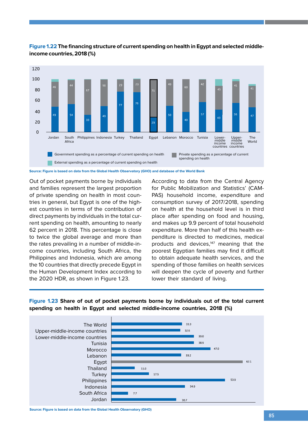



**Source: Figure is based on data from the Global Health Observatory (GHO) and database of the World Bank**

Out of pocket payments borne by individuals and families represent the largest proportion of private spending on health in most countries in general, but Egypt is one of the highest countries in terms of the contribution of direct payments by individuals in the total current spending on health, amounting to nearly 62 percent in 2018. This percentage is close to twice the global average and more than the rates prevailing in a number of middle-income countries, including South Africa, the Philippines and Indonesia, which are among the 10 countries that directly precede Egypt in the Human Development Index according to the 2020 HDR, as shown in Figure 1.23.

According to data from the Central Agency for Public Mobilization and Statistics' (CAM-PAS) household income, expenditure and consumption survey of 2017/2018, spending on health at the household level is in third place after spending on food and housing, and makes up 9.9 percent of total household expenditure. More than half of this health expenditure is directed to medicines, medical products and devices,<sup>147</sup> meaning that the poorest Egyptian families may find it difficult to obtain adequate health services, and the spending of those families on health services will deepen the cycle of poverty and further lower their standard of living.





**Source: Figure is based on data from the Global Health Observatory (GHO)**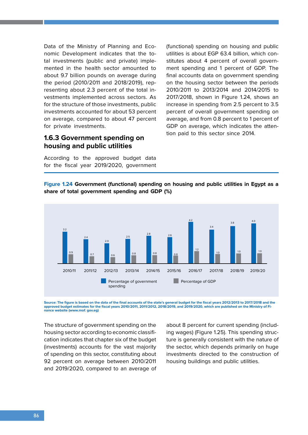Data of the Ministry of Planning and Economic Development indicates that the total investments (public and private) implemented in the health sector amounted to about 9.7 billion pounds on average during the period (2010/2011 and 2018/2019), representing about 2.3 percent of the total investments implemented across sectors. As for the structure of those investments, public investments accounted for about 53 percent on average, compared to about 47 percent for private investments.

## **1.6.3 Government spending on housing and public utilities**

According to the approved budget data for the fiscal year 2019/2020, government (functional) spending on housing and public utilities is about EGP 63.4 billion, which constitutes about 4 percent of overall government spending and 1 percent of GDP. The final accounts data on government spending on the housing sector between the periods 2010/2011 to 2013/2014 and 2014/2015 to 2017/2018, shown in Figure 1.24, shows an increase in spending from 2.5 percent to 3.5 percent of overall government spending on average, and from 0.8 percent to 1 percent of GDP on average, which indicates the attention paid to this sector since 2014.





**Source: The figure is based on the data of the final accounts of the state's general budget for the fiscal years 2012/2013 to 2017/2018 and the approved budget estimates for the fiscal years 2010/2011, 2011/2012, 2018/2019, and 2019/2020, which are published on the Ministry of Finance website (www.mof. gov.eg)**

The structure of government spending on the housing sector according to economic classification indicates that chapter six of the budget (investments) accounts for the vast majority of spending on this sector, constituting about 92 percent on average between 2010/2011 and 2019/2020, compared to an average of

about 8 percent for current spending (including wages) (Figure 1.25). This spending structure is generally consistent with the nature of the sector, which depends primarily on huge investments directed to the construction of housing buildings and public utilities.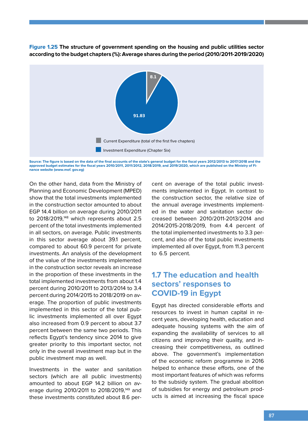**Figure 1.25 The structure of government spending on the housing and public utilities sector according to the budget chapters (%): Average shares during the period (2010/2011-2019/2020)**



**Source: The figure is based on the data of the final accounts of the state's general budget for the fiscal years 2012/2013 to 2017/2018 and the approved budget estimates for the fiscal years 2010/2011, 2011/2012, 2018/2019, and 2019/2020, which are published on the Ministry of Finance website (www.mof. gov.eg)**

On the other hand, data from the Ministry of Planning and Economic Development (MPED) show that the total investments implemented in the construction sector amounted to about EGP 14.4 billion on average during 2010/2011 to 2018/2019,<sup>148</sup> which represents about 2.5 percent of the total investments implemented in all sectors, on average. Public investments in this sector average about 39.1 percent, compared to about 60.9 percent for private investments. An analysis of the development of the value of the investments implemented in the construction sector reveals an increase in the proportion of these investments in the total implemented investments from about 1.4 percent during 2010/2011 to 2013/2014 to 3.4 percent during 2014/2015 to 2018/2019 on average. The proportion of public investments implemented in this sector of the total public investments implemented all over Egypt also increased from 0.9 percent to about 3.7 percent between the same two periods. This reflects Egypt's tendency since 2014 to give greater priority to this important sector, not only in the overall investment map but in the public investment map as well.

Investments in the water and sanitation sectors (which are all public investments) amounted to about EGP 14.2 billion on average during 2010/2011 to 2018/2019,149 and these investments constituted about 8.6 per-

cent on average of the total public investments implemented in Egypt. In contrast to the construction sector, the relative size of the annual average investments implemented in the water and sanitation sector decreased between 2010/2011-2013/2014 and 2014/2015-2018/2019, from 4.4 percent of the total implemented investments to 3.3 percent, and also of the total public investments implemented all over Egypt, from 11.3 percent to 6.5 percent.

# **1.7 The education and health sectors' responses to COVID-19 in Egypt**

Egypt has directed considerable efforts and resources to invest in human capital in recent years, developing health, education and adequate housing systems with the aim of expanding the availability of services to all citizens and improving their quality, and increasing their competitiveness, as outlined above. The government's implementation of the economic reform programme in 2016 helped to enhance these efforts, one of the most important features of which was reforms to the subsidy system. The gradual abolition of subsidies for energy and petroleum products is aimed at increasing the fiscal space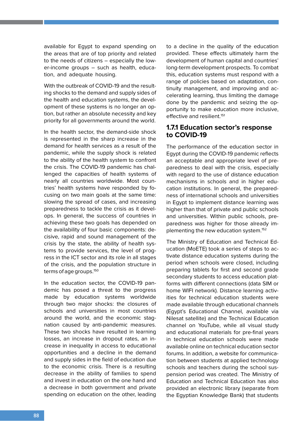available for Egypt to expand spending on the areas that are of top priority and related to the needs of citizens – especially the lower-income groups – such as health, education, and adequate housing.

With the outbreak of COVID-19 and the resulting shocks to the demand and supply sides of the health and education systems, the development of these systems is no longer an option, but rather an absolute necessity and key priority for all governments around the world.

In the health sector, the demand-side shock is represented in the sharp increase in the demand for health services as a result of the pandemic, while the supply shock is related to the ability of the health system to confront the crisis. The COVID-19 pandemic has challenged the capacities of health systems of nearly all countries worldwide. Most countries' health systems have responded by focusing on two main goals at the same time: slowing the spread of cases, and increasing preparedness to tackle the crisis as it develops. In general, the success of countries in achieving these two goals has depended on the availability of four basic components: decisive, rapid and sound management of the crisis by the state, the ability of health systems to provide services, the level of progress in the ICT sector and its role in all stages of the crisis, and the population structure in terms of age groups.150

In the education sector, the COVID-19 pandemic has posed a threat to the progress made by education systems worldwide through two major shocks: the closures of schools and universities in most countries around the world, and the economic stagnation caused by anti-pandemic measures. These two shocks have resulted in learning losses, an increase in dropout rates, an increase in inequality in access to educational opportunities and a decline in the demand and supply sides in the field of education due to the economic crisis. There is a resulting decrease in the ability of families to spend and invest in education on the one hand and a decrease in both government and private spending on education on the other, leading to a decline in the quality of the education provided. These effects ultimately harm the development of human capital and countries' long-term development prospects. To combat this, education systems must respond with a range of policies based on adaptation, continuity management, and improving and accelerating learning, thus limiting the damage done by the pandemic and seizing the opportunity to make education more inclusive, effective and resilient.<sup>151</sup>

## **1.7.1 Education sector's response to COVID-19**

The performance of the education sector in Egypt during the COVID-19 pandemic reflects an acceptable and appropriate level of preparedness to deal with the crisis, especially with regard to the use of distance education mechanisms in schools and in higher education institutions. In general, the preparedness of international schools and universities in Egypt to implement distance learning was higher than that of private and public schools and universities. Within public schools, preparedness was higher for those already implementing the new education system.152

The Ministry of Education and Technical Education (MoETE) took a series of steps to activate distance education systems during the period when schools were closed, including preparing tablets for first and second grade secondary students to access education platforms with different connections (data SIM or home WIFI network). Distance learning activities for technical education students were made available through educational channels (Egypt's Educational Channel, available via Nilesat satellite) and the Technical Education channel on YouTube, while all visual study and educational materials for pre-final years in technical education schools were made available online on technical education sector forums. In addition, a website for communication between students at applied technology schools and teachers during the school suspension period was created. The Ministry of Education and Technical Education has also provided an electronic library (separate from the Egyptian Knowledge Bank) that students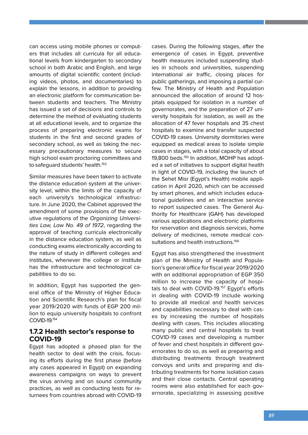can access using mobile phones or computers that includes all curricula for all educational levels from kindergarten to secondary school in both Arabic and English, and large amounts of digital scientific content (including videos, photos, and documentaries) to explain the lessons, in addition to providing an electronic platform for communication between students and teachers. The Ministry has issued a set of decisions and controls to determine the method of evaluating students at all educational levels, and to organize the process of preparing electronic exams for students in the first and second grades of secondary school, as well as taking the necessary precautionary measures to secure high school exam proctoring committees and to safeguard students' health.<sup>153</sup>

Similar measures have been taken to activate the distance education system at the university level, within the limits of the capacity of each university's technological infrastructure. In June 2020, the Cabinet approved the amendment of some provisions of the executive regulations of the Organizing Universities Law, Law No. 49 of 1972, regarding the approval of teaching curricula electronically in the distance education system, as well as conducting exams electronically according to the nature of study in different colleges and institutes, whenever the college or institute has the infrastructure and technological capabilities to do so.

In addition, Egypt has supported the general office of the Ministry of Higher Education and Scientific Research's plan for fiscal year 2019/2020 with funds of EGP 200 million to equip university hospitals to confront COVID-19.154

## **1.7.2 Health sector's response to COVID-19**

Egypt has adopted a phased plan for the health sector to deal with the crisis, focusing its efforts during the first phase (before any cases appeared in Egypt) on expanding awareness campaigns on ways to prevent the virus arriving and on sound community practices, as well as conducting tests for returnees from countries abroad with COVID-19

cases. During the following stages, after the emergence of cases in Egypt, preventive health measures included suspending studies in schools and universities, suspending international air traffic, closing places for public gatherings, and imposing a partial curfew. The Ministry of Health and Population announced the allocation of around 12 hospitals equipped for isolation in a number of governorates, and the preparation of 27 university hospitals for isolation, as well as the allocation of 47 fever hospitals and 35 chest hospitals to examine and transfer suspected COVID-19 cases. University dormitories were equipped as medical areas to isolate simple cases in stages, with a total capacity of about 19,800 beds.<sup>155</sup> In addition, MOHP has adopted a set of initiatives to support digital health in light of COVID-19, including the launch of the Sehet Misr (Egypt's Health) mobile application in April 2020, which can be accessed by smart phones, and which includes educational guidelines and an interactive service to report suspected cases. The General Authority for Healthcare (GAH) has developed various applications and electronic platforms for reservation and diagnosis services, home delivery of medicines, remote medical consultations and health instructions.<sup>156</sup>

Egypt has also strengthened the investment plan of the Ministry of Health and Population's general office for fiscal year 2019/2020 with an additional appropriation of EGP 350 million to increase the capacity of hospitals to deal with COVID-19.<sup>157</sup> Egypt's efforts in dealing with COVID-19 include working to provide all medical and health services and capabilities necessary to deal with cases by increasing the number of hospitals dealing with cases. This includes allocating many public and central hospitals to treat COVID-19 cases and developing a number of fever and chest hospitals in different governorates to do so, as well as preparing and distributing treatments through treatment convoys and units and preparing and distributing treatments for home isolation cases and their close contacts. Central operating rooms were also established for each governorate, specializing in assessing positive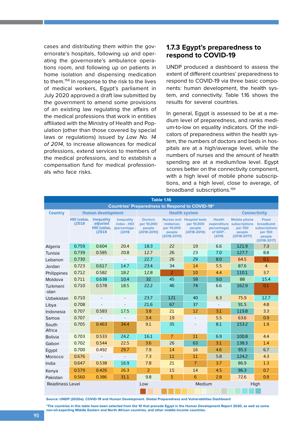cases and distributing them within the governorate's hospitals, following up and operating the governorate's ambulance operations room, and following up on patients in home isolation and dispensing medication to them.158 In response to the risk to the lives of medical workers, Egypt's [parliament](https://www.masrawy.com/news/Tag/25592/%D9%85%D8%AC%D9%84%D8%B3-%D8%A7%D9%84%D9%86%D9%88%D8%A7%D8%A8#bodykeywords) in July 2020 approved a draft law submitted by the government to amend some provisions of an existing law regulating the affairs of the medical professions that work in entities affiliated with the Ministry of Health and Population (other than those covered by special laws or regulations) issued by Law No. 14 of 2014, to increase allowances for medical professions, extend services to members of the medical professions, and to establish a compensation fund for medical professionals who face risks.

## **1.7.3 Egypt's preparedness to respond to COVID-19**

UNDP produced a dashboard to assess the extent of different countries' preparedness to respond to COVID-19 via three basic components: human development, the health system, and connectivity. Table 1.16 shows the results for several countries.

In general, Egypt is assessed to be at a medium level of preparedness, and ranks medium-to-low on equality indicators. Of the indicators of preparedness within the health system, the numbers of doctors and beds in hospitals are at a high/average level, while the numbers of nurses and the amount of health spending are at a medium/low level. Egypt scores better on the connectivity component, with a high level of mobile phone subscriptions, and a high level, close to average, of broadband subscriptions.159

| <b>Table 1.16</b>                                      |                              |                                                               |                                                             |                                                           |                                                     |                                                                            |                                                    |                                                                                          |                                                                                    |
|--------------------------------------------------------|------------------------------|---------------------------------------------------------------|-------------------------------------------------------------|-----------------------------------------------------------|-----------------------------------------------------|----------------------------------------------------------------------------|----------------------------------------------------|------------------------------------------------------------------------------------------|------------------------------------------------------------------------------------|
| <b>Countries' Preparedness to Respond to COVID-19*</b> |                              |                                                               |                                                             |                                                           |                                                     |                                                                            |                                                    |                                                                                          |                                                                                    |
| <b>Country</b>                                         | <b>Human development</b>     |                                                               | <b>Health system</b>                                        |                                                           |                                                     | <b>Connectivity</b>                                                        |                                                    |                                                                                          |                                                                                    |
|                                                        | <b>HDI</b> (value,<br>(2018) | <b>Inequality</b><br>adiusted<br><b>HDI</b> (value,<br>(2018) | <b>Inequality</b><br>index - HDI<br>(percentage -<br>(2018) | <b>Doctors</b><br>per 10,000<br>people<br>$(2018 - 2010)$ | midwives<br>per 10,000<br>people<br>$(2018 - 2010)$ | <b>Nurses and Hospital beds</b><br>per 10,000<br>people<br>$(2018 - 2010)$ | <b>Health</b><br>percentage)<br>of GDP -<br>(2016) | <b>Mobile phone</b><br>expenditure subscriptions<br>per 100<br>people<br>$(2018 - 2017)$ | <b>Fixed</b><br>broadband<br>subscriptions<br>per 100<br>people<br>$(2018 - 2017)$ |
| Algeria                                                | 0.759                        | 0.604                                                         | 20.4                                                        | 18.3                                                      | 22                                                  | 19                                                                         | 6.6                                                | 121.9                                                                                    | 7.3                                                                                |
| Tunisia                                                | 0.739                        | 0.585                                                         | 20.8                                                        | 12.7                                                      | 26                                                  | 23                                                                         | 7.0                                                | 127.7                                                                                    | 8.8                                                                                |
| Lebanon                                                | 0.730                        | ÷,                                                            | $\blacksquare$                                              | 22.7                                                      | 26                                                  | 29                                                                         | 8.0                                                | 64.5                                                                                     | 0.1                                                                                |
| Jordan                                                 | 0.723                        | 0.617                                                         | 14.7                                                        | 23.4                                                      | 34                                                  | 14                                                                         | 5.5                                                | 87.6                                                                                     | $\overline{4}$                                                                     |
| Philippines                                            | 0.712                        | 0.582                                                         | 18.2                                                        | 12.8                                                      | $\overline{2}$                                      | 10                                                                         | 4.4                                                | 110.1                                                                                    | 3.7                                                                                |
| Moldova                                                | 0.711                        | 0.638                                                         | 10.4                                                        | 32                                                        | 45                                                  | 58                                                                         | 9.0                                                | 88                                                                                       | 15.4                                                                               |
| Turkmeni<br>-stan                                      | 0.710                        | 0.578                                                         | 18.5                                                        | 22.2                                                      | 46                                                  | 74                                                                         | 6.6                                                | 162.9                                                                                    | 0.1                                                                                |
| Uzbekistan                                             | 0.710                        |                                                               |                                                             | 23.7                                                      | 121                                                 | 40                                                                         | 6.3                                                | 75.9                                                                                     | 12.7                                                                               |
| Libya                                                  | 0.708                        |                                                               |                                                             | 21.6                                                      | 67                                                  | 37                                                                         |                                                    | 91.5                                                                                     | 4.8                                                                                |
| Indonesia                                              | 0.707                        | 0.583                                                         | 17.5                                                        | 3.8                                                       | 21                                                  | 12                                                                         | 3.1                                                | 119.8                                                                                    | 3.3                                                                                |
| Samoa                                                  | 0.707                        | $\blacksquare$                                                | $\blacksquare$                                              | 3.4                                                       | 19                                                  | $\blacksquare$                                                             | 5.5                                                | 63.6                                                                                     | 0.9                                                                                |
| South<br>Africa                                        | 0.705                        | 0.463                                                         | 34.4                                                        | 9.1                                                       | 35                                                  |                                                                            | 8.1                                                | 153.2                                                                                    | 1.9                                                                                |
| <b>Bolivia</b>                                         | 0.703                        | 0.533                                                         | 24.2                                                        | 16.1                                                      | $\overline{7}$                                      | 11                                                                         | 6.9                                                | 100.8                                                                                    | 4.4                                                                                |
| Gabon                                                  | 0.702                        | 0.544                                                         | 22.5                                                        | 3.6                                                       | 26                                                  | 63                                                                         | 3.1                                                | 138.3                                                                                    | 1.4                                                                                |
| Eqypt                                                  | 0.700                        | 0.492                                                         | 29.7                                                        | 7.9                                                       | 14                                                  | 16                                                                         | 4.6                                                | 95.3                                                                                     | 6.7                                                                                |
| Morocco                                                | 0.676                        |                                                               | $\blacksquare$                                              | 7.3                                                       | 11                                                  | 11                                                                         | 5.8                                                | 124.2                                                                                    | 4.3                                                                                |
| India                                                  | 0.647                        | 0.538                                                         | 16.9                                                        | 7.8                                                       | 21                                                  | $\overline{7}$                                                             | 3.7                                                | 86.9                                                                                     | 1.3                                                                                |
| Kenya                                                  | 0.579                        | 0.426                                                         | 26.3                                                        | $\overline{2}$                                            | 15                                                  | 14                                                                         | 4.5                                                | 96.3                                                                                     | 0.7                                                                                |
| Pakistan                                               | 0.560                        | 0.386                                                         | 31.1                                                        | 9.8                                                       | 5                                                   | 6                                                                          | 2.8                                                | 72.6                                                                                     | 0.9                                                                                |
| <b>Readiness Level</b>                                 |                              | Low                                                           |                                                             | Medium                                                    |                                                     |                                                                            | High                                               |                                                                                          |                                                                                    |

**Source: UNDP (2020a). COVID-19 and Human Development. Global Preparedness and Vulnerabilities Dashboard**

**\*The countries in this table have been selected from the 10 that precede Egypt in the Human Development Report 2020, as well as some non-oil-exporting Middle Eastern and North African countries, and other middle-income countries.**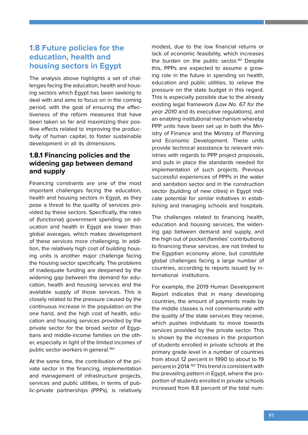# **1.8 Future policies for the education, health and housing sectors in Egypt**

The analysis above highlights a set of challenges facing the education, health and housing sectors which Egypt has been seeking to deal with and aims to focus on in the coming period, with the goal of ensuring the effectiveness of the reform measures that have been taken so far and maximizing their positive effects related to improving the productivity of human capital, to foster sustainable development in all its dimensions.

## **1.8.1 Financing policies and the widening gap between demand and supply**

Financing constraints are one of the most important challenges facing the education, health and housing sectors in Egypt, as they pose a threat to the quality of services provided by these sectors. Specifically, the rates of (functional) government spending on education and health in Egypt are lower than global averages, which makes development of these services more challenging. In addition, the relatively high cost of building housing units is another major challenge facing the housing sector specifically. The problems of inadequate funding are deepened by the widening gap between the demand for education, health and housing services and the available supply of those services. This is closely related to the pressure caused by the continuous increase in the population on the one hand, and the high cost of health, education and housing services provided by the private sector for the broad sector of Egyptians and middle-income families on the other, especially in light of the limited incomes of public sector workers in general.<sup>160</sup>

At the same time, the contribution of the private sector in the financing, implementation and management of infrastructure projects, services and public utilities, in terms of public-private partnerships (PPPs), is relatively

modest, due to the low financial returns or lack of economic feasibility, which increases the burden on the public sector.<sup>161</sup> Despite this, PPPs are expected to assume a growing role in the future in spending on health, education and public utilities, to relieve the pressure on the state budget in this regard. This is especially possible due to the already existing legal framework (Law No. 67 for the year 2010 and its executive regulations), and an enabling institutional mechanism whereby PPP units have been set up in both the Ministry of Finance and the Ministry of Planning and Economic Development. These units provide technical assistance to relevant ministries with regards to PPP project proposals, and puts in place the standards needed for implementation of such projects. Previous successful experiences of PPPs in the water and sanitation sector and in the construction sector (building of new cities) in Egypt indicate potential for similar initiatives in establishing and managing schools and hospitals.

The challenges related to financing health, education and housing services, the widening gap between demand and supply, and the high out of pocket (families' contributions) to financing these services, are not limited to the Egyptian economy alone, but constitute global challenges facing a large number of countries, according to reports issued by international institutions.

For example, the 2019 Human Development Report indicates that in many developing countries, the amount of payments made by the middle classes is not commensurate with the quality of the state services they receive, which pushes individuals to move towards services provided by the private sector. This is shown by the increases in the proportion of students enrolled in private schools at the primary grade level in a number of countries from about 12 percent in 1990 to about to 19 percent in 2014.<sup>162</sup> This trend is consistent with the prevailing pattern in Egypt, where the proportion of students enrolled in private schools increased from 8.8 percent of the total num-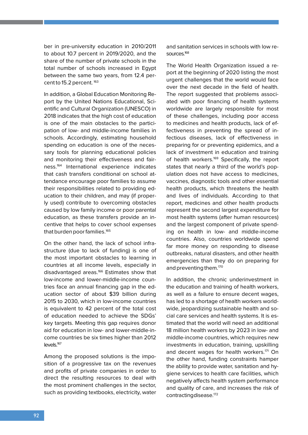ber in pre-university education in 2010/2011 to about 10.7 percent in 2019/2020, and the share of the number of private schools in the total number of schools increased in Egypt between the same two years, from 12.4 percent to 15.2 percent. 163

In addition, a Global Education Monitoring Report by the United Nations Educational, Scientific and Cultural Organization (UNESCO) in 2018 indicates that the high cost of education is one of the main obstacles to the participation of low- and middle-income families in schools. Accordingly, estimating household spending on education is one of the necessary tools for planning educational policies and monitoring their effectiveness and fairness.164 International experience indicates that cash transfers conditional on school attendance encourage poor families to assume their responsibilities related to providing education to their children, and may (if properly used) contribute to overcoming obstacles caused by low family income or poor parental education, as these transfers provide an incentive that helps to cover school expenses that burden poor families.<sup>165</sup>

On the other hand, the lack of school infrastructure (due to lack of funding) is one of the most important obstacles to learning in countries at all income levels, especially in disadvantaged areas.<sup>166</sup> Estimates show that low-income and lower-middle-income countries face an annual financing gap in the education sector of about \$39 billion during 2015 to 2030, which in low-income countries is equivalent to 42 percent of the total cost of education needed to achieve the SDGs' key targets. Meeting this gap requires donor aid for education in low- and lower-middle-income countries be six times higher than 2012 levels.167

Among the proposed solutions is the imposition of a progressive tax on the revenues and profits of private companies in order to direct the resulting resources to deal with the most prominent challenges in the sector, such as providing textbooks, electricity, water and sanitation services in schools with low resources.<sup>168</sup>

The World Health Organization issued a report at the beginning of 2020 listing the most urgent challenges that the world would face over the next decade in the field of health. The report suggested that problems associated with poor financing of health systems worldwide are largely responsible for most of these challenges, including poor access to medicines and health products, lack of effectiveness in preventing the spread of infectious diseases, lack of effectiveness in preparing for or preventing epidemics, and a lack of investment in education and training of health workers.<sup>169</sup> Specifically, the report states that nearly a third of the world's population does not have access to medicines, vaccines, diagnostic tools and other essential health products, which threatens the health and lives of individuals. According to that report, medicines and other health products represent the second largest expenditure for most health systems (after human resources) and the largest component of private spending on health in low- and middle-income countries. Also, countries worldwide spend far more money on responding to disease outbreaks, natural disasters, and other health emergencies than they do on preparing for and preventing them.170

In addition, the chronic underinvestment in the education and training of health workers, as well as a failure to ensure decent wages, has led to a shortage of health workers worldwide, jeopardizing sustainable health and social care services and health systems. It is estimated that the world will need an additional 18 million health workers by 2023 in low- and middle-income countries, which requires new investments in education, training, upskilling and decent wages for health workers.<sup>171</sup> On the other hand, funding constraints hamper the ability to provide water, sanitation and hygiene services to health care facilities, which negatively affects health system performance and quality of care, and increases the risk of contracting disease.<sup>172</sup>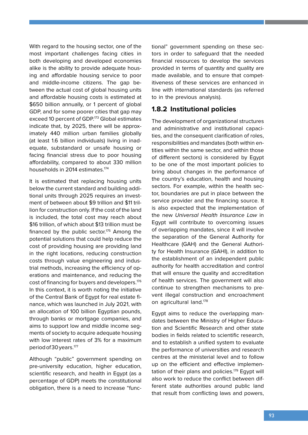With regard to the housing sector, one of the most important challenges facing cities in both developing and developed economies alike is the ability to provide adequate housing and affordable housing service to poor and middle-income citizens. The gap between the actual cost of global housing units and affordable housing costs is estimated at \$650 billion annually, or 1 percent of global GDP, and for some poorer cities that gap may exceed 10 percent of GDP.<sup>173</sup> Global estimates indicate that, by 2025, there will be approximately 440 million urban families globally (at least 1.6 billion individuals) living in inadequate, substandard or unsafe housing or facing financial stress due to poor housing affordability, compared to about 330 million households in 2014 estimates.<sup>174</sup>

It is estimated that replacing housing units below the current standard and building additional units through 2025 requires an investment of between about \$9 trillion and \$11 trillion for construction only. If the cost of the land is included, the total cost may reach about \$16 trillion, of which about \$13 trillion must be financed by the public sector.<sup>175</sup> Among the potential solutions that could help reduce the cost of providing housing are providing land in the right locations, reducing construction costs through value engineering and industrial methods, increasing the efficiency of operations and maintenance, and reducing the cost of financing for buyers and developers.<sup>176</sup> In this context, it is worth noting the initiative of the Central Bank of Egypt for real estate finance, which was launched in July 2021, with an allocation of 100 billion Egyptian pounds, through banks or mortgage companies, and aims to support low and middle income segments of society to acquire adequate housing with low interest rates of 3% for a maximum period of 30 years.177

Although "public" government spending on pre-university education, higher education, scientific research, and health in Egypt (as a percentage of GDP) meets the constitutional obligation, there is a need to increase "functional" government spending on these sectors in order to safeguard that the needed financial resources to develop the services provided in terms of quantity and quality are made available, and to ensure that competitiveness of these services are enhanced in line with international standards (as referred to in the previous analysis).

### **1.8.2 Institutional policies**

The development of organizational structures and administrative and institutional capacities, and the consequent clarification of roles, responsibilities and mandates (both within entities within the same sector, and within those of different sectors) is considered by Egypt to be one of the most important policies to bring about changes in the performance of the country's education, health and housing sectors. For example, within the health sector, boundaries are put in place between the service provider and the financing source. It is also expected that the implementation of the new Universal Health Insurance Law in Egypt will contribute to overcoming issues of overlapping mandates, since it will involve the separation of the General Authority for Healthcare (GAH) and the General Authority for Health Insurance (GAHI), in addition to the establishment of an independent public authority for health accreditation and control that will ensure the quality and accreditation of health services. The government will also continue to strengthen mechanisms to prevent illegal construction and encroachment on agricultural land.178

Egypt aims to reduce the overlapping mandates between the Ministry of Higher Education and Scientific Research and other state bodies in fields related to scientific research, and to establish a unified system to evaluate the performance of universities and research centres at the ministerial level and to follow up on the efficient and effective implementation of their plans and policies.<sup>179</sup> Egypt will also work to reduce the conflict between different state authorities around public land that result from conflicting laws and powers,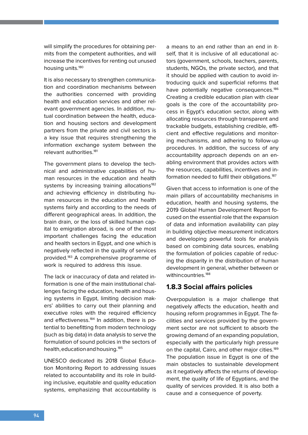will simplify the procedures for obtaining permits from the competent authorities, and will increase the incentives for renting out unused housing units.<sup>180</sup>

It is also necessary to strengthen communication and coordination mechanisms between the authorities concerned with providing health and education services and other relevant government agencies. In addition, mutual coordination between the health, education and housing sectors and development partners from the private and civil sectors is a key issue that requires strengthening the information exchange system between the relevant authorities.181

The government plans to develop the technical and administrative capabilities of human resources in the education and health systems by increasing training allocations<sup>182</sup> and achieving efficiency in distributing human resources in the education and health systems fairly and according to the needs of different geographical areas. In addition, the brain drain, or the loss of skilled human capital to emigration abroad, is one of the most important challenges facing the education and health sectors in Egypt, and one which is negatively reflected in the quality of services provided.<sup>183</sup> A comprehensive programme of work is required to address this issue.

The lack or inaccuracy of data and related information is one of the main institutional challenges facing the education, health and housing systems in Egypt, limiting decision makers' abilities to carry out their planning and executive roles with the required efficiency and effectiveness.<sup>184</sup> In addition, there is potential to benefitting from modern technology (such as big data) in data analysis to serve the formulation of sound policies in the sectors of health, education and housing.185

UNESCO dedicated its 2018 Global Education Monitoring Report to addressing issues related to accountability and its role in building inclusive, equitable and quality education systems, emphasizing that accountability is a means to an end rather than an end in itself, that it is inclusive of all educational actors (government, schools, teachers, parents, students, NGOs, the private sector), and that it should be applied with caution to avoid introducing quick and superficial reforms that have potentially negative consequences.<sup>186</sup> Creating a credible education plan with clear goals is the core of the accountability process in Egypt's education sector, along with allocating resources through transparent and trackable budgets, establishing credible, efficient and effective regulations and monitoring mechanisms, and adhering to follow-up procedures. In addition, the success of any accountability approach depends on an enabling environment that provides actors with the resources, capabilities, incentives and information needed to fulfil their obligations.187

Given that access to information is one of the main pillars of accountability mechanisms in education, health and housing systems, the 2019 Global Human Development Report focused on the essential role that the expansion of data and information availability can play in building objective measurement indicators and developing powerful tools for analysis based on combining data sources, enabling the formulation of policies capable of reducing the disparity in the distribution of human development in general, whether between or within countries.<sup>188</sup>

## **1.8.3 Social affairs policies**

Overpopulation is a major challenge that negatively affects the education, health and housing reform programmes in Egypt. The facilities and services provided by the government sector are not sufficient to absorb the growing demand of an expanding population, especially with the particularly high pressure on the capital, Cairo, and other major cities.<sup>189</sup> The population issue in Egypt is one of the main obstacles to sustainable development as it negatively affects the returns of development, the quality of life of Egyptians, and the quality of services provided. It is also both a cause and a consequence of poverty.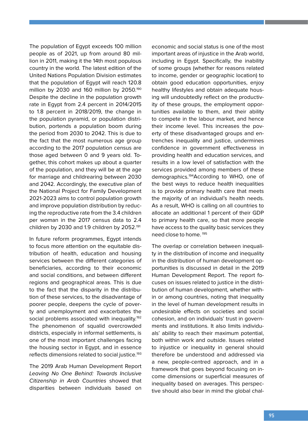The population of Egypt exceeds 100 million people as of 2021, up from around 80 million in 2011, making it the 14th most populous country in the world. The latest edition of the United Nations Population Division estimates that the population of Egypt will reach 120.8 million by 2030 and 160 million by 2050.<sup>190</sup> Despite the decline in the population growth rate in Egypt from 2.4 percent in 2014/2015 to 1.8 percent in 2018/2019, the change in the population pyramid, or population distribution, portends a population boom during the period from 2030 to 2042. This is due to the fact that the most numerous age group according to the 2017 population census are those aged between 0 and 9 years old. Together, this cohort makes up about a quarter of the population, and they will be at the age for marriage and childrearing between 2030 and 2042. Accordingly, the executive plan of the National Project for Family Development 2021-2023 aims to control population growth and improve population distribution by reducing the reproductive rate from the 3.4 children per woman in the 2017 census data to 2.4 children by 2030 and 1.9 children by 2052.<sup>191</sup>

In future reform programmes, Egypt intends to focus more attention on the equitable distribution of health, education and housing services between the different categories of beneficiaries, according to their economic and social conditions, and between different regions and geographical areas. This is due to the fact that the disparity in the distribution of these services, to the disadvantage of poorer people, deepens the cycle of poverty and unemployment and exacerbates the social problems associated with inequality.<sup>192</sup> The phenomenon of squalid overcrowded districts, especially in informal settlements, is one of the most important challenges facing the housing sector in Egypt, and in essence reflects dimensions related to social justice.193

The 2019 Arab Human Development Report Leaving No One Behind: Towards Inclusive Citizenship in Arab Countries showed that disparities between individuals based on

economic and social status is one of the most important areas of injustice in the Arab world, including in Egypt. Specifically, the inability of some groups (whether for reasons related to income, gender or geographic location) to obtain good education opportunities, enjoy healthy lifestyles and obtain adequate housing will undoubtedly reflect on the productivity of these groups, the employment opportunities available to them, and their ability to compete in the labour market, and hence their income level. This increases the poverty of these disadvantaged groups and entrenches inequality and justice, undermines confidence in government effectiveness in providing health and education services, and results in a low level of satisfaction with the services provided among members of these demographics.194According to WHO, one of the best ways to reduce health inequalities is to provide primary health care that meets the majority of an individual's health needs. As a result, WHO is calling on all countries to allocate an additional 1 percent of their GDP to primary health care, so that more people have access to the quality basic services they need close to home.<sup>195</sup>

The overlap or correlation between inequality in the distribution of income and inequality in the distribution of human development opportunities is discussed in detail in the 2019 Human Development Report. The report focuses on issues related to justice in the distribution of human development, whether within or among countries, noting that inequality in the level of human development results in undesirable effects on societies and social cohesion, and on individuals' trust in governments and institutions. It also limits individuals' ability to reach their maximum potential, both within work and outside. Issues related to injustice or inequality in general should therefore be understood and addressed via a new, people-centred approach, and in a framework that goes beyond focusing on income dimensions or superficial measures of inequality based on averages. This perspective should also bear in mind the global chal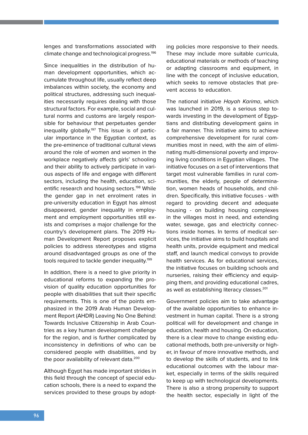lenges and transformations associated with climate change and technological progress.196

Since inequalities in the distribution of human development opportunities, which accumulate throughout life, usually reflect deep imbalances within society, the economy and political structures, addressing such inequalities necessarily requires dealing with those structural factors. For example, social and cultural norms and customs are largely responsible for behaviour that perpetuates gender inequality globally.<sup>197</sup> This issue is of particular importance in the Egyptian context, as the pre-eminence of traditional cultural views around the role of women and women in the workplace negatively affects girls' schooling and their ability to actively participate in various aspects of life and engage with different sectors, including the health, education, scientific research and housing sectors.<sup>198</sup> While the gender gap in net enrolment rates in pre-university education in Egypt has almost disappeared, gender inequality in employment and employment opportunities still exists and comprises a major challenge for the country's development plans. The 2019 Human Development Report proposes explicit policies to address stereotypes and stigma around disadvantaged groups as one of the tools required to tackle gender inequality.199

In addition, there is a need to give priority in educational reforms to expanding the provision of quality education opportunities for people with disabilities that suit their specific requirements. This is one of the points emphasized in the 2019 Arab Human Development Report (AHDR) Leaving No One Behind: Towards Inclusive Citizenship in Arab Countries as a key human development challenge for the region, and is further complicated by inconsistency in definitions of who can be considered people with disabilities, and by the poor availability of relevant data.<sup>200</sup>

Although Egypt has made important strides in this field through the concept of special education schools, there is a need to expand the services provided to these groups by adopting policies more responsive to their needs. These may include more suitable curricula, educational materials or methods of teaching or adapting classrooms and equipment, in line with the concept of inclusive education, which seeks to remove obstacles that prevent access to education.

The national initiative Hayah Karima, which was launched in 2019, is a serious step towards investing in the development of Egyptians and distributing development gains in a fair manner. This initiative aims to achieve comprehensive development for rural communities most in need, with the aim of eliminating multi-dimensional poverty and improving living conditions in Egyptian villages. The initiative focuses on a set of interventions that target most vulnerable families in rural communities, the elderly, people of determination, women heads of households, and children. Specifically, this initiative focuses - with regard to providing decent and adequate housing - on building housing complexes in the villages most in need, and extending water, sewage, gas and electricity connections inside homes. In terms of medical services, the initiative aims to build hospitals and health units, provide equipment and medical staff, and launch medical convoys to provide health services. As for educational services, the initiative focuses on building schools and nurseries, raising their efficiency and equipping them, and providing educational cadres, as well as establishing literacy classes.<sup>201</sup>

Government policies aim to take advantage of the available opportunities to enhance investment in human capital. There is a strong political will for development and change in education, health and housing. On education, there is a clear move to change existing educational methods, both pre-university or higher, in favour of more innovative methods, and to develop the skills of students, and to link educational outcomes with the labour market, especially in terms of the skills required to keep up with technological developments. There is also a strong propensity to support the health sector, especially in light of the